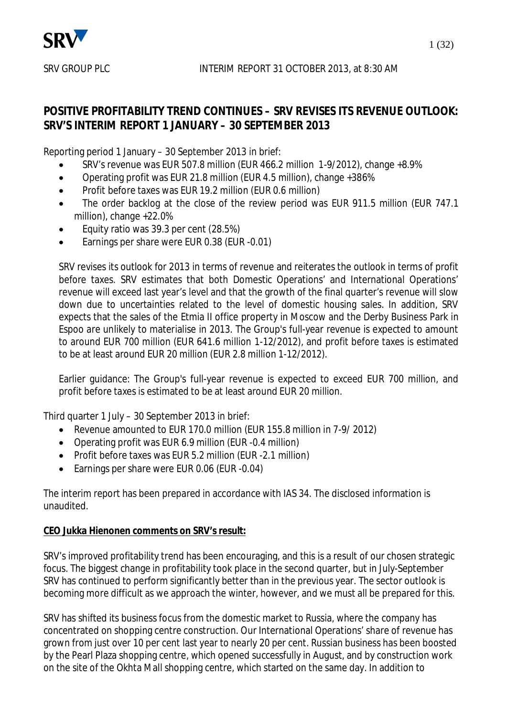

# **POSITIVE PROFITABILITY TREND CONTINUES – SRV REVISES ITS REVENUE OUTLOOK: SRV'S INTERIM REPORT 1 JANUARY – 30 SEPTEMBER 2013**

Reporting period 1 January – 30 September 2013 in brief:

- x SRV's revenue was EUR 507.8 million (EUR 466.2 million 1-9/2012), change +8.9%
- Operating profit was EUR 21.8 million (EUR 4.5 million), change +386%
- Profit before taxes was EUR 19.2 million (EUR 0.6 million)
- The order backlog at the close of the review period was EUR 911.5 million (EUR 747.1) million), change +22.0%
- Equity ratio was 39.3 per cent (28.5%)
- Earnings per share were EUR 0.38 (EUR -0.01)

SRV revises its outlook for 2013 in terms of revenue and reiterates the outlook in terms of profit before taxes. SRV estimates that both Domestic Operations' and International Operations' revenue will exceed last year's level and that the growth of the final quarter's revenue will slow down due to uncertainties related to the level of domestic housing sales. In addition, SRV expects that the sales of the Etmia II office property in Moscow and the Derby Business Park in Espoo are unlikely to materialise in 2013. The Group's full-year revenue is expected to amount to around EUR 700 million (EUR 641.6 million 1-12/2012), and profit before taxes is estimated to be at least around EUR 20 million (EUR 2.8 million 1-12/2012).

Earlier guidance: The Group's full-year revenue is expected to exceed EUR 700 million, and profit before taxes is estimated to be at least around EUR 20 million.

Third quarter 1 July – 30 September 2013 in brief:

- Revenue amounted to EUR 170.0 million (EUR 155.8 million in 7-9/ 2012)
- Operating profit was EUR 6.9 million (EUR -0.4 million)
- Profit before taxes was EUR 5.2 million (EUR -2.1 million)
- Earnings per share were EUR 0.06 (EUR -0.04)

The interim report has been prepared in accordance with IAS 34. The disclosed information is unaudited.

# **CEO Jukka Hienonen comments on SRV's result:**

SRV's improved profitability trend has been encouraging, and this is a result of our chosen strategic focus. The biggest change in profitability took place in the second quarter, but in July-September SRV has continued to perform significantly better than in the previous year. The sector outlook is becoming more difficult as we approach the winter, however, and we must all be prepared for this.

SRV has shifted its business focus from the domestic market to Russia, where the company has concentrated on shopping centre construction. Our International Operations' share of revenue has grown from just over 10 per cent last year to nearly 20 per cent. Russian business has been boosted by the Pearl Plaza shopping centre, which opened successfully in August, and by construction work on the site of the Okhta Mall shopping centre, which started on the same day. In addition to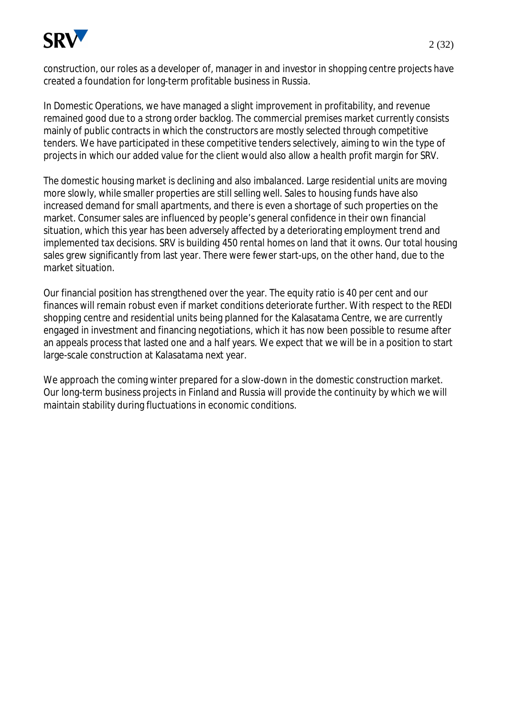

construction, our roles as a developer of, manager in and investor in shopping centre projects have created a foundation for long-term profitable business in Russia.

In Domestic Operations, we have managed a slight improvement in profitability, and revenue remained good due to a strong order backlog. The commercial premises market currently consists mainly of public contracts in which the constructors are mostly selected through competitive tenders. We have participated in these competitive tenders selectively, aiming to win the type of projects in which our added value for the client would also allow a health profit margin for SRV.

The domestic housing market is declining and also imbalanced. Large residential units are moving more slowly, while smaller properties are still selling well. Sales to housing funds have also increased demand for small apartments, and there is even a shortage of such properties on the market. Consumer sales are influenced by people's general confidence in their own financial situation, which this year has been adversely affected by a deteriorating employment trend and implemented tax decisions. SRV is building 450 rental homes on land that it owns. Our total housing sales grew significantly from last year. There were fewer start-ups, on the other hand, due to the market situation.

Our financial position has strengthened over the year. The equity ratio is 40 per cent and our finances will remain robust even if market conditions deteriorate further. With respect to the REDI shopping centre and residential units being planned for the Kalasatama Centre, we are currently engaged in investment and financing negotiations, which it has now been possible to resume after an appeals process that lasted one and a half years. We expect that we will be in a position to start large-scale construction at Kalasatama next year.

We approach the coming winter prepared for a slow-down in the domestic construction market. Our long-term business projects in Finland and Russia will provide the continuity by which we will maintain stability during fluctuations in economic conditions.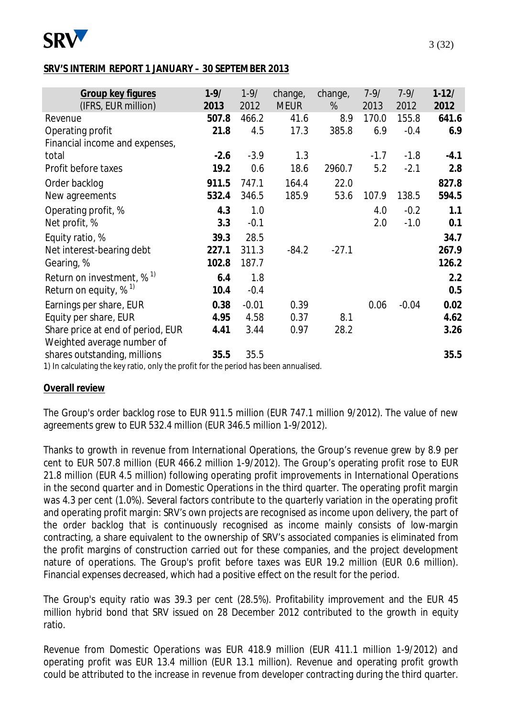

#### **SRV'S INTERIM REPORT 1 JANUARY – 30 SEPTEMBER 2013**

| $1 - 9/$ | $1 - 9/$ | change, | change,<br>% | $7-9/$                                                                                                     | $7 - 9/$ | $1-12/$<br>2012 |
|----------|----------|---------|--------------|------------------------------------------------------------------------------------------------------------|----------|-----------------|
| 507.8    | 466.2    | 41.6    | 8.9          | 170.0                                                                                                      | 155.8    | 641.6           |
| 21.8     | 4.5      | 17.3    | 385.8        | 6.9                                                                                                        | $-0.4$   | 6.9             |
|          |          |         |              |                                                                                                            |          |                 |
| $-2.6$   | $-3.9$   | 1.3     |              | $-1.7$                                                                                                     | $-1.8$   | $-4.1$          |
| 19.2     | 0.6      | 18.6    | 2960.7       | 5.2                                                                                                        | $-2.1$   | 2.8             |
| 911.5    | 747.1    | 164.4   | 22.0         |                                                                                                            |          | 827.8           |
| 532.4    | 346.5    | 185.9   | 53.6         | 107.9                                                                                                      | 138.5    | 594.5           |
| 4.3      | 1.0      |         |              | 4.0                                                                                                        | $-0.2$   | 1.1             |
| 3.3      | $-0.1$   |         |              | 2.0                                                                                                        | $-1.0$   | 0.1             |
| 39.3     | 28.5     |         |              |                                                                                                            |          | 34.7            |
| 227.1    | 311.3    | $-84.2$ | $-27.1$      |                                                                                                            |          | 267.9           |
| 102.8    | 187.7    |         |              |                                                                                                            |          | 126.2           |
| 6.4      | 1.8      |         |              |                                                                                                            |          | 2.2             |
| 10.4     | $-0.4$   |         |              |                                                                                                            |          | 0.5             |
| 0.38     | $-0.01$  | 0.39    |              | 0.06                                                                                                       | $-0.04$  | 0.02            |
| 4.95     | 4.58     | 0.37    | 8.1          |                                                                                                            |          | 4.62            |
| 4.41     | 3.44     | 0.97    | 28.2         |                                                                                                            |          | 3.26            |
|          |          |         |              |                                                                                                            |          |                 |
| 35.5     | 35.5     |         |              |                                                                                                            |          | 35.5            |
|          | 2013     | 2012    | <b>MEUR</b>  | المعمزا ويتسمون ويممط ومطالوه استمروا والسوائلة فالكوسون وطلبته المستحدث والمسالح والجسالية التمامس وبالأق | 2013     | 2012            |

1) In calculating the key ratio, only the profit for the period has been annualised.

#### **Overall review**

The Group's order backlog rose to EUR 911.5 million (EUR 747.1 million 9/2012). The value of new agreements grew to EUR 532.4 million (EUR 346.5 million 1-9/2012).

Thanks to growth in revenue from International Operations, the Group's revenue grew by 8.9 per cent to EUR 507.8 million (EUR 466.2 million 1-9/2012). The Group's operating profit rose to EUR 21.8 million (EUR 4.5 million) following operating profit improvements in International Operations in the second quarter and in Domestic Operations in the third quarter. The operating profit margin was 4.3 per cent (1.0%). Several factors contribute to the quarterly variation in the operating profit and operating profit margin: SRV's own projects are recognised as income upon delivery, the part of the order backlog that is continuously recognised as income mainly consists of low-margin contracting, a share equivalent to the ownership of SRV's associated companies is eliminated from the profit margins of construction carried out for these companies, and the project development nature of operations. The Group's profit before taxes was EUR 19.2 million (EUR 0.6 million). Financial expenses decreased, which had a positive effect on the result for the period.

The Group's equity ratio was 39.3 per cent (28.5%). Profitability improvement and the EUR 45 million hybrid bond that SRV issued on 28 December 2012 contributed to the growth in equity ratio.

Revenue from Domestic Operations was EUR 418.9 million (EUR 411.1 million 1-9/2012) and operating profit was EUR 13.4 million (EUR 13.1 million). Revenue and operating profit growth could be attributed to the increase in revenue from developer contracting during the third quarter.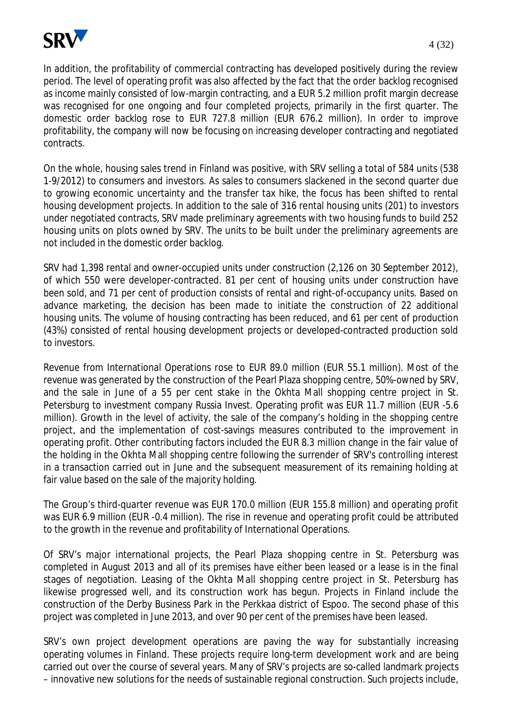

In addition, the profitability of commercial contracting has developed positively during the review period. The level of operating profit was also affected by the fact that the order backlog recognised as income mainly consisted of low-margin contracting, and a EUR 5.2 million profit margin decrease was recognised for one ongoing and four completed projects, primarily in the first quarter. The domestic order backlog rose to EUR 727.8 million (EUR 676.2 million). In order to improve profitability, the company will now be focusing on increasing developer contracting and negotiated contracts.

On the whole, housing sales trend in Finland was positive, with SRV selling a total of 584 units (538 1-9/2012) to consumers and investors. As sales to consumers slackened in the second quarter due to growing economic uncertainty and the transfer tax hike, the focus has been shifted to rental housing development projects. In addition to the sale of 316 rental housing units (201) to investors under negotiated contracts, SRV made preliminary agreements with two housing funds to build 252 housing units on plots owned by SRV. The units to be built under the preliminary agreements are not included in the domestic order backlog.

SRV had 1,398 rental and owner-occupied units under construction (2,126 on 30 September 2012), of which 550 were developer-contracted. 81 per cent of housing units under construction have been sold, and 71 per cent of production consists of rental and right-of-occupancy units. Based on advance marketing, the decision has been made to initiate the construction of 22 additional housing units. The volume of housing contracting has been reduced, and 61 per cent of production (43%) consisted of rental housing development projects or developed-contracted production sold to investors.

Revenue from International Operations rose to EUR 89.0 million (EUR 55.1 million). Most of the revenue was generated by the construction of the Pearl Plaza shopping centre, 50%-owned by SRV, and the sale in June of a 55 per cent stake in the Okhta Mall shopping centre project in St. Petersburg to investment company Russia Invest. Operating profit was EUR 11.7 million (EUR -5.6 million). Growth in the level of activity, the sale of the company's holding in the shopping centre project, and the implementation of cost-savings measures contributed to the improvement in operating profit. Other contributing factors included the EUR 8.3 million change in the fair value of the holding in the Okhta Mall shopping centre following the surrender of SRV's controlling interest in a transaction carried out in June and the subsequent measurement of its remaining holding at fair value based on the sale of the majority holding.

The Group's third-quarter revenue was EUR 170.0 million (EUR 155.8 million) and operating profit was EUR 6.9 million (EUR -0.4 million). The rise in revenue and operating profit could be attributed to the growth in the revenue and profitability of International Operations.

Of SRV's major international projects, the Pearl Plaza shopping centre in St. Petersburg was completed in August 2013 and all of its premises have either been leased or a lease is in the final stages of negotiation. Leasing of the Okhta Mall shopping centre project in St. Petersburg has likewise progressed well, and its construction work has begun. Projects in Finland include the construction of the Derby Business Park in the Perkkaa district of Espoo. The second phase of this project was completed in June 2013, and over 90 per cent of the premises have been leased.

SRV's own project development operations are paving the way for substantially increasing operating volumes in Finland. These projects require long-term development work and are being carried out over the course of several years. Many of SRV's projects are so-called landmark projects – innovative new solutions for the needs of sustainable regional construction. Such projects include,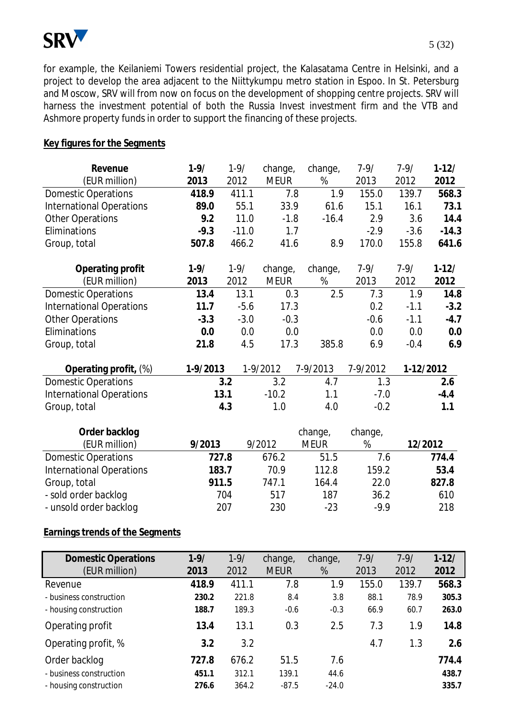

for example, the Keilaniemi Towers residential project, the Kalasatama Centre in Helsinki, and a project to develop the area adjacent to the Niittykumpu metro station in Espoo. In St. Petersburg and Moscow, SRV will from now on focus on the development of shopping centre projects. SRV will harness the investment potential of both the Russia Invest investment firm and the VTB and Ashmore property funds in order to support the financing of these projects.

#### **Key figures for the Segments**

| Revenue                         | $1 - 9/$ | $1 - 9/$ | change,     | change,     | $7 - 9/$ | $7 - 9/$  | $1 - 12/$ |
|---------------------------------|----------|----------|-------------|-------------|----------|-----------|-----------|
| (EUR million)                   | 2013     | 2012     | <b>MEUR</b> | %           | 2013     | 2012      | 2012      |
| <b>Domestic Operations</b>      | 418.9    | 411.1    | 7.8         | 1.9         | 155.0    | 139.7     | 568.3     |
| <b>International Operations</b> | 89.0     | 55.1     | 33.9        | 61.6        | 15.1     | 16.1      | 73.1      |
| <b>Other Operations</b>         | 9.2      | 11.0     | $-1.8$      | $-16.4$     | 2.9      | 3.6       | 14.4      |
| Eliminations                    | $-9.3$   | $-11.0$  | 1.7         |             | $-2.9$   | $-3.6$    | $-14.3$   |
| Group, total                    | 507.8    | 466.2    | 41.6        | 8.9         | 170.0    | 155.8     | 641.6     |
| Operating profit                | $1 - 9/$ | $1 - 9/$ | change,     | change,     | $7 - 9/$ | $7 - 9/$  | $1-12/$   |
| (EUR million)                   | 2013     | 2012     | <b>MEUR</b> | %           | 2013     | 2012      | 2012      |
| <b>Domestic Operations</b>      | 13.4     | 13.1     | 0.3         | 2.5         | 7.3      | 1.9       | 14.8      |
| <b>International Operations</b> | 11.7     | $-5.6$   | 17.3        |             | 0.2      | $-1.1$    | $-3.2$    |
| <b>Other Operations</b>         | $-3.3$   | $-3.0$   | $-0.3$      |             | $-0.6$   | $-1.1$    | $-4.7$    |
| Eliminations                    | 0.0      | 0.0      | 0.0         |             | 0.0      | 0.0       | 0.0       |
| Group, total                    | 21.8     | 4.5      | 17.3        | 385.8       | 6.9      | $-0.4$    | 6.9       |
| Operating profit, (%)           | 1-9/2013 |          | 1-9/2012    | 7-9/2013    | 7-9/2012 | 1-12/2012 |           |
| <b>Domestic Operations</b>      |          | 3.2      | 3.2         | 4.7         | 1.3      |           | 2.6       |
| <b>International Operations</b> | 13.1     |          | $-10.2$     | 1.1         | $-7.0$   |           | $-4.4$    |
| Group, total                    |          | 4.3      | 1.0         | 4.0         | $-0.2$   |           | 1.1       |
| Order backlog                   |          |          |             | change,     | change,  |           |           |
| (EUR million)                   | 9/2013   |          | 9/2012      | <b>MEUR</b> | %        | 12/2012   |           |
| <b>Domestic Operations</b>      | 727.8    |          | 676.2       | 51.5        | 7.6      |           | 774.4     |
| <b>International Operations</b> | 183.7    |          | 70.9        | 112.8       | 159.2    |           | 53.4      |
| Group, total                    | 911.5    |          | 747.1       | 164.4       | 22.0     |           | 827.8     |
| - sold order backlog            |          | 704      | 517         | 187         | 36.2     |           | 610       |
| - unsold order backlog          |          | 207      | 230         | $-23$       | $-9.9$   |           | 218       |

# **Earnings trends of the Segments**

| <b>Domestic Operations</b> | $1 - 9/$ | $1 - 9/$ | change,     | change, | $7 - 9/$ | $7 - 9/$ | $1 - 12/$ |
|----------------------------|----------|----------|-------------|---------|----------|----------|-----------|
| (EUR million)              | 2013     | 2012     | <b>MEUR</b> | %       | 2013     | 2012     | 2012      |
| Revenue                    | 418.9    | 411.1    | 7.8         | 1.9     | 155.0    | 139.7    | 568.3     |
| - business construction    | 230.2    | 221.8    | 8.4         | 3.8     | 88.1     | 78.9     | 305.3     |
| - housing construction     | 188.7    | 189.3    | $-0.6$      | $-0.3$  | 66.9     | 60.7     | 263.0     |
| Operating profit           | 13.4     | 13.1     | 0.3         | 2.5     | 7.3      | 1.9      | 14.8      |
| Operating profit, %        | 3.2      | 3.2      |             |         | 4.7      | 1.3      | 2.6       |
| Order backlog              | 727.8    | 676.2    | 51.5        | 7.6     |          |          | 774.4     |
| - business construction    | 451.1    | 312.1    | 139.1       | 44.6    |          |          | 438.7     |
| - housing construction     | 276.6    | 364.2    | $-87.5$     | $-24.0$ |          |          | 335.7     |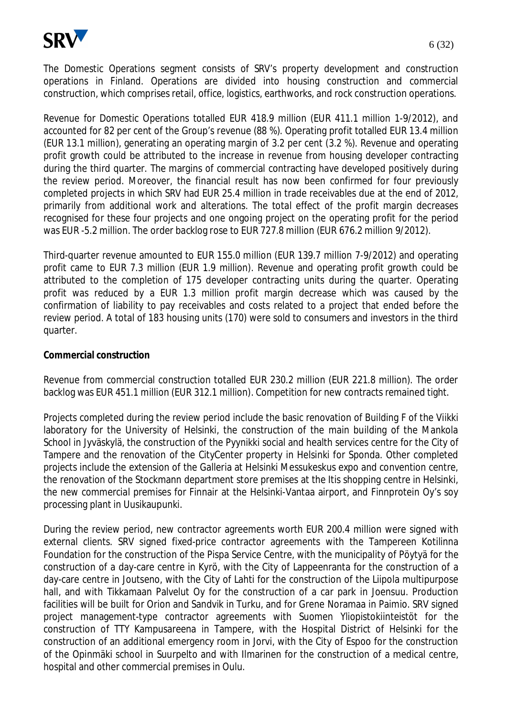

The Domestic Operations segment consists of SRV's property development and construction operations in Finland. Operations are divided into housing construction and commercial construction, which comprises retail, office, logistics, earthworks, and rock construction operations.

Revenue for Domestic Operations totalled EUR 418.9 million (EUR 411.1 million 1-9/2012), and accounted for 82 per cent of the Group's revenue (88 %). Operating profit totalled EUR 13.4 million (EUR 13.1 million), generating an operating margin of 3.2 per cent (3.2 %). Revenue and operating profit growth could be attributed to the increase in revenue from housing developer contracting during the third quarter. The margins of commercial contracting have developed positively during the review period. Moreover, the financial result has now been confirmed for four previously completed projects in which SRV had EUR 25.4 million in trade receivables due at the end of 2012, primarily from additional work and alterations. The total effect of the profit margin decreases recognised for these four projects and one ongoing project on the operating profit for the period was EUR -5.2 million. The order backlog rose to EUR 727.8 million (EUR 676.2 million 9/2012).

Third-quarter revenue amounted to EUR 155.0 million (EUR 139.7 million 7-9/2012) and operating profit came to EUR 7.3 million (EUR 1.9 million). Revenue and operating profit growth could be attributed to the completion of 175 developer contracting units during the quarter. Operating profit was reduced by a EUR 1.3 million profit margin decrease which was caused by the confirmation of liability to pay receivables and costs related to a project that ended before the review period. A total of 183 housing units (170) were sold to consumers and investors in the third quarter.

#### **Commercial construction**

Revenue from commercial construction totalled EUR 230.2 million (EUR 221.8 million). The order backlog was EUR 451.1 million (EUR 312.1 million). Competition for new contracts remained tight.

Projects completed during the review period include the basic renovation of Building F of the Viikki laboratory for the University of Helsinki, the construction of the main building of the Mankola School in Jyväskylä, the construction of the Pyynikki social and health services centre for the City of Tampere and the renovation of the CityCenter property in Helsinki for Sponda. Other completed projects include the extension of the Galleria at Helsinki Messukeskus expo and convention centre, the renovation of the Stockmann department store premises at the Itis shopping centre in Helsinki, the new commercial premises for Finnair at the Helsinki-Vantaa airport, and Finnprotein Oy's soy processing plant in Uusikaupunki.

During the review period, new contractor agreements worth EUR 200.4 million were signed with external clients. SRV signed fixed-price contractor agreements with the Tampereen Kotilinna Foundation for the construction of the Pispa Service Centre, with the municipality of Pöytyä for the construction of a day-care centre in Kyrö, with the City of Lappeenranta for the construction of a day-care centre in Joutseno, with the City of Lahti for the construction of the Liipola multipurpose hall, and with Tikkamaan Palvelut Oy for the construction of a car park in Joensuu. Production facilities will be built for Orion and Sandvik in Turku, and for Grene Noramaa in Paimio. SRV signed project management-type contractor agreements with Suomen Yliopistokiinteistöt for the construction of TTY Kampusareena in Tampere, with the Hospital District of Helsinki for the construction of an additional emergency room in Jorvi, with the City of Espoo for the construction of the Opinmäki school in Suurpelto and with Ilmarinen for the construction of a medical centre, hospital and other commercial premises in Oulu.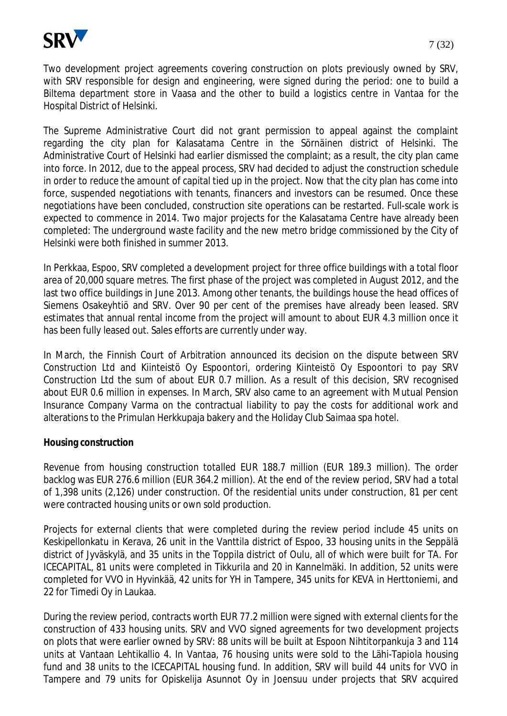

Two development project agreements covering construction on plots previously owned by SRV, with SRV responsible for design and engineering, were signed during the period: one to build a Biltema department store in Vaasa and the other to build a logistics centre in Vantaa for the Hospital District of Helsinki.

The Supreme Administrative Court did not grant permission to appeal against the complaint regarding the city plan for Kalasatama Centre in the Sörnäinen district of Helsinki. The Administrative Court of Helsinki had earlier dismissed the complaint; as a result, the city plan came into force. In 2012, due to the appeal process, SRV had decided to adjust the construction schedule in order to reduce the amount of capital tied up in the project. Now that the city plan has come into force, suspended negotiations with tenants, financers and investors can be resumed. Once these negotiations have been concluded, construction site operations can be restarted. Full-scale work is expected to commence in 2014. Two major projects for the Kalasatama Centre have already been completed: The underground waste facility and the new metro bridge commissioned by the City of Helsinki were both finished in summer 2013.

In Perkkaa, Espoo, SRV completed a development project for three office buildings with a total floor area of 20,000 square metres. The first phase of the project was completed in August 2012, and the last two office buildings in June 2013. Among other tenants, the buildings house the head offices of Siemens Osakeyhtiö and SRV. Over 90 per cent of the premises have already been leased. SRV estimates that annual rental income from the project will amount to about EUR 4.3 million once it has been fully leased out. Sales efforts are currently under way.

In March, the Finnish Court of Arbitration announced its decision on the dispute between SRV Construction Ltd and Kiinteistö Oy Espoontori, ordering Kiinteistö Oy Espoontori to pay SRV Construction Ltd the sum of about EUR 0.7 million. As a result of this decision, SRV recognised about EUR 0.6 million in expenses. In March, SRV also came to an agreement with Mutual Pension Insurance Company Varma on the contractual liability to pay the costs for additional work and alterations to the Primulan Herkkupaja bakery and the Holiday Club Saimaa spa hotel.

#### **Housing construction**

Revenue from housing construction totalled EUR 188.7 million (EUR 189.3 million). The order backlog was EUR 276.6 million (EUR 364.2 million). At the end of the review period, SRV had a total of 1,398 units (2,126) under construction. Of the residential units under construction, 81 per cent were contracted housing units or own sold production.

Projects for external clients that were completed during the review period include 45 units on Keskipellonkatu in Kerava, 26 unit in the Vanttila district of Espoo, 33 housing units in the Seppälä district of Jyväskylä, and 35 units in the Toppila district of Oulu, all of which were built for TA. For ICECAPITAL, 81 units were completed in Tikkurila and 20 in Kannelmäki. In addition, 52 units were completed for VVO in Hyvinkää, 42 units for YH in Tampere, 345 units for KEVA in Herttoniemi, and 22 for Timedi Oy in Laukaa.

During the review period, contracts worth EUR 77.2 million were signed with external clients for the construction of 433 housing units. SRV and VVO signed agreements for two development projects on plots that were earlier owned by SRV: 88 units will be built at Espoon Nihtitorpankuja 3 and 114 units at Vantaan Lehtikallio 4. In Vantaa, 76 housing units were sold to the Lähi-Tapiola housing fund and 38 units to the ICECAPITAL housing fund. In addition, SRV will build 44 units for VVO in Tampere and 79 units for Opiskelija Asunnot Oy in Joensuu under projects that SRV acquired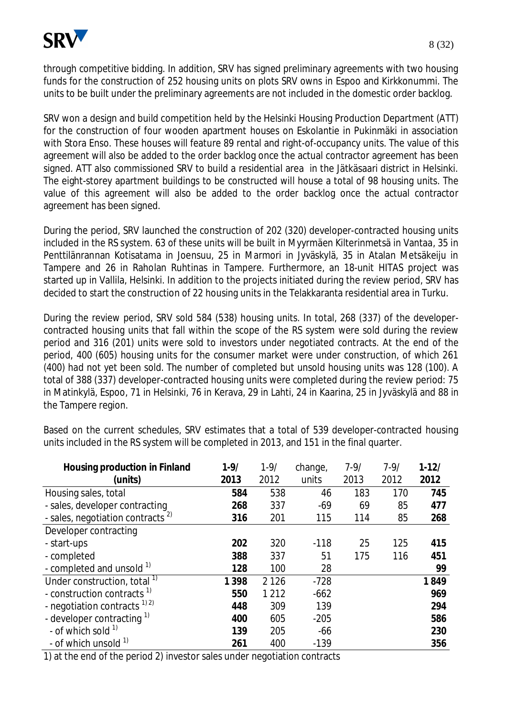

through competitive bidding. In addition, SRV has signed preliminary agreements with two housing funds for the construction of 252 housing units on plots SRV owns in Espoo and Kirkkonummi. The units to be built under the preliminary agreements are not included in the domestic order backlog.

SRV won a design and build competition held by the Helsinki Housing Production Department (ATT) for the construction of four wooden apartment houses on Eskolantie in Pukinmäki in association with Stora Enso. These houses will feature 89 rental and right-of-occupancy units. The value of this agreement will also be added to the order backlog once the actual contractor agreement has been signed. ATT also commissioned SRV to build a residential area in the Jätkäsaari district in Helsinki. The eight-storey apartment buildings to be constructed will house a total of 98 housing units. The value of this agreement will also be added to the order backlog once the actual contractor agreement has been signed.

During the period, SRV launched the construction of 202 (320) developer-contracted housing units included in the RS system. 63 of these units will be built in Myyrmäen Kilterinmetsä in Vantaa, 35 in Penttilänrannan Kotisatama in Joensuu, 25 in Marmori in Jyväskylä, 35 in Atalan Metsäkeiju in Tampere and 26 in Raholan Ruhtinas in Tampere. Furthermore, an 18-unit HITAS project was started up in Vallila, Helsinki. In addition to the projects initiated during the review period, SRV has decided to start the construction of 22 housing units in the Telakkaranta residential area in Turku.

During the review period, SRV sold 584 (538) housing units. In total, 268 (337) of the developercontracted housing units that fall within the scope of the RS system were sold during the review period and 316 (201) units were sold to investors under negotiated contracts. At the end of the period, 400 (605) housing units for the consumer market were under construction, of which 261 (400) had not yet been sold. The number of completed but unsold housing units was 128 (100). A total of 388 (337) developer-contracted housing units were completed during the review period: 75 in Matinkylä, Espoo, 71 in Helsinki, 76 in Kerava, 29 in Lahti, 24 in Kaarina, 25 in Jyväskylä and 88 in the Tampere region.

| Housing production in Finland                | $1 - 9/$ | $1 - 9/$ | change, | $7 - 9/$ | $7 - 9/$ | $1 - 12/$ |
|----------------------------------------------|----------|----------|---------|----------|----------|-----------|
| (units)                                      | 2013     | 2012     | units   | 2013     | 2012     | 2012      |
| Housing sales, total                         | 584      | 538      | 46      | 183      | 170      | 745       |
| - sales, developer contracting               | 268      | 337      | $-69$   | 69       | 85       | 477       |
| - sales, negotiation contracts <sup>2)</sup> | 316      | 201      | 115     | 114      | 85       | 268       |
| Developer contracting                        |          |          |         |          |          |           |
| - start-ups                                  | 202      | 320      | $-118$  | 25       | 125      | 415       |
| - completed                                  | 388      | 337      | 51      | 175      | 116      | 451       |
| - completed and unsold 1)                    | 128      | 100      | 28      |          |          | 99        |
| Under construction, total <sup>1)</sup>      | 1 3 9 8  | 2 1 2 6  | $-728$  |          |          | 1849      |
| - construction contracts <sup>1)</sup>       | 550      | 1 2 1 2  | $-662$  |          |          | 969       |
| - negotiation contracts $^{1/2}$             | 448      | 309      | 139     |          |          | 294       |
| - developer contracting $1$                  | 400      | 605      | $-205$  |          |          | 586       |
| - of which sold $1$                          | 139      | 205      | $-66$   |          |          | 230       |
| - of which unsold <sup>1)</sup>              | 261      | 400      | $-139$  |          |          | 356       |

Based on the current schedules, SRV estimates that a total of 539 developer-contracted housing units included in the RS system will be completed in 2013, and 151 in the final quarter.

1) at the end of the period 2) investor sales under negotiation contracts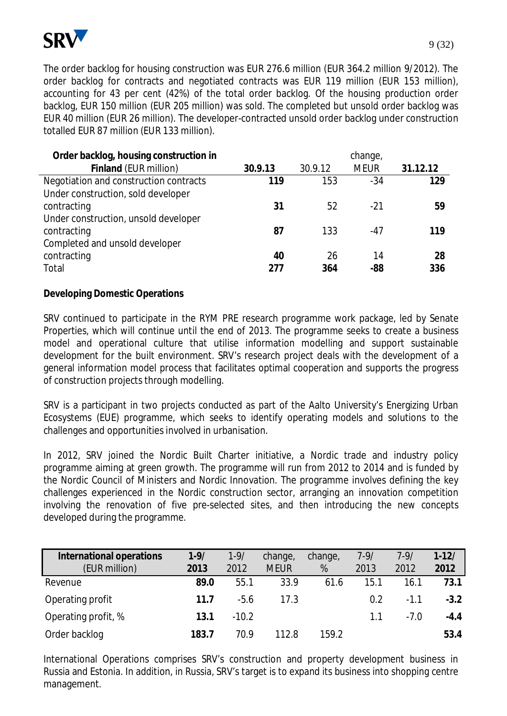

The order backlog for housing construction was EUR 276.6 million (EUR 364.2 million 9/2012). The order backlog for contracts and negotiated contracts was EUR 119 million (EUR 153 million), accounting for 43 per cent (42%) of the total order backlog. Of the housing production order backlog, EUR 150 million (EUR 205 million) was sold. The completed but unsold order backlog was EUR 40 million (EUR 26 million). The developer-contracted unsold order backlog under construction totalled EUR 87 million (EUR 133 million).

| Order backlog, housing construction in |         |         | change,     |          |
|----------------------------------------|---------|---------|-------------|----------|
| Finland (EUR million)                  | 30.9.13 | 30.9.12 | <b>MEUR</b> | 31.12.12 |
| Negotiation and construction contracts | 119     | 153     | $-34$       | 129      |
| Under construction, sold developer     |         |         |             |          |
| contracting                            | 31      | 52      | $-21$       | 59       |
| Under construction, unsold developer   |         |         |             |          |
| contracting                            | 87      | 133     | -47         | 119      |
| Completed and unsold developer         |         |         |             |          |
| contracting                            | 40      | 26      | 14          | 28       |
| Total                                  | 277     | 364     | -88         | 336      |

## **Developing Domestic Operations**

SRV continued to participate in the RYM PRE research programme work package, led by Senate Properties, which will continue until the end of 2013. The programme seeks to create a business model and operational culture that utilise information modelling and support sustainable development for the built environment. SRV's research project deals with the development of a general information model process that facilitates optimal cooperation and supports the progress of construction projects through modelling.

SRV is a participant in two projects conducted as part of the Aalto University's Energizing Urban Ecosystems (EUE) programme, which seeks to identify operating models and solutions to the challenges and opportunities involved in urbanisation.

In 2012, SRV joined the Nordic Built Charter initiative, a Nordic trade and industry policy programme aiming at green growth. The programme will run from 2012 to 2014 and is funded by the Nordic Council of Ministers and Nordic Innovation. The programme involves defining the key challenges experienced in the Nordic construction sector, arranging an innovation competition involving the renovation of five pre-selected sites, and then introducing the new concepts developed during the programme.

| International operations | $1 - 9/$ | $1 - 9/$ | change,     | change, | $7 - 9/$ | $7 - 9/$ | $1 - 12/$ |
|--------------------------|----------|----------|-------------|---------|----------|----------|-----------|
| (EUR million)            | 2013     | 2012     | <b>MEUR</b> | %       | 2013     | 2012     | 2012      |
| Revenue                  | 89.0     | 55.1     | 33.9        | 61.6    | 15.1     | 16.1     | 73.1      |
| Operating profit         | 11.7     | $-5.6$   | 17.3        |         | 0.2      | $-1.1$   | $-3.2$    |
| Operating profit, %      | 13.1     | $-10.2$  |             |         | 1.1      | $-7.0$   | $-4.4$    |
| Order backlog            | 183.7    | 70.9     | 112.8       | 159.2   |          |          | 53.4      |

International Operations comprises SRV's construction and property development business in Russia and Estonia. In addition, in Russia, SRV's target is to expand its business into shopping centre management.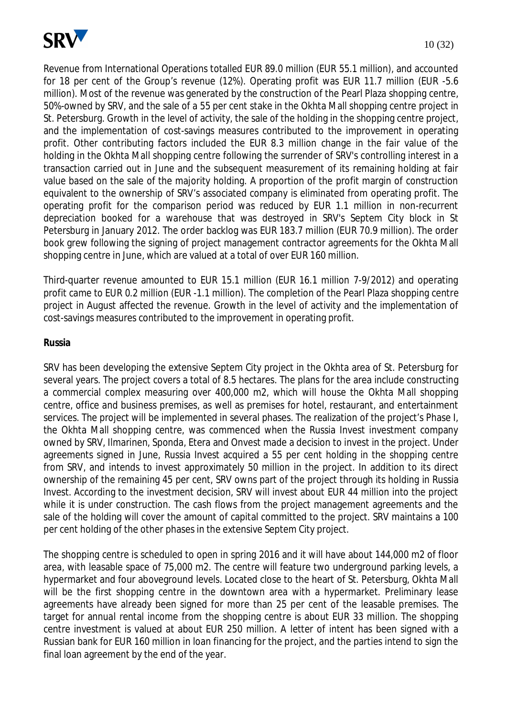

Revenue from International Operations totalled EUR 89.0 million (EUR 55.1 million), and accounted for 18 per cent of the Group's revenue (12%). Operating profit was EUR 11.7 million (EUR -5.6 million). Most of the revenue was generated by the construction of the Pearl Plaza shopping centre, 50%-owned by SRV, and the sale of a 55 per cent stake in the Okhta Mall shopping centre project in St. Petersburg. Growth in the level of activity, the sale of the holding in the shopping centre project, and the implementation of cost-savings measures contributed to the improvement in operating profit. Other contributing factors included the EUR 8.3 million change in the fair value of the holding in the Okhta Mall shopping centre following the surrender of SRV's controlling interest in a transaction carried out in June and the subsequent measurement of its remaining holding at fair value based on the sale of the majority holding. A proportion of the profit margin of construction equivalent to the ownership of SRV's associated company is eliminated from operating profit. The operating profit for the comparison period was reduced by EUR 1.1 million in non-recurrent depreciation booked for a warehouse that was destroyed in SRV's Septem City block in St Petersburg in January 2012. The order backlog was EUR 183.7 million (EUR 70.9 million). The order book grew following the signing of project management contractor agreements for the Okhta Mall shopping centre in June, which are valued at a total of over EUR 160 million.

Third-quarter revenue amounted to EUR 15.1 million (EUR 16.1 million 7-9/2012) and operating profit came to EUR 0.2 million (EUR -1.1 million). The completion of the Pearl Plaza shopping centre project in August affected the revenue. Growth in the level of activity and the implementation of cost-savings measures contributed to the improvement in operating profit.

#### **Russia**

SRV has been developing the extensive Septem City project in the Okhta area of St. Petersburg for several years. The project covers a total of 8.5 hectares. The plans for the area include constructing a commercial complex measuring over 400,000 m2, which will house the Okhta Mall shopping centre, office and business premises, as well as premises for hotel, restaurant, and entertainment services. The project will be implemented in several phases. The realization of the project's Phase I, the Okhta Mall shopping centre, was commenced when the Russia Invest investment company owned by SRV, Ilmarinen, Sponda, Etera and Onvest made a decision to invest in the project. Under agreements signed in June, Russia Invest acquired a 55 per cent holding in the shopping centre from SRV, and intends to invest approximately 50 million in the project. In addition to its direct ownership of the remaining 45 per cent, SRV owns part of the project through its holding in Russia Invest. According to the investment decision, SRV will invest about EUR 44 million into the project while it is under construction. The cash flows from the project management agreements and the sale of the holding will cover the amount of capital committed to the project. SRV maintains a 100 per cent holding of the other phases in the extensive Septem City project.

The shopping centre is scheduled to open in spring 2016 and it will have about 144,000 m2 of floor area, with leasable space of 75,000 m2. The centre will feature two underground parking levels, a hypermarket and four aboveground levels. Located close to the heart of St. Petersburg, Okhta Mall will be the first shopping centre in the downtown area with a hypermarket. Preliminary lease agreements have already been signed for more than 25 per cent of the leasable premises. The target for annual rental income from the shopping centre is about EUR 33 million. The shopping centre investment is valued at about EUR 250 million. A letter of intent has been signed with a Russian bank for EUR 160 million in loan financing for the project, and the parties intend to sign the final loan agreement by the end of the year.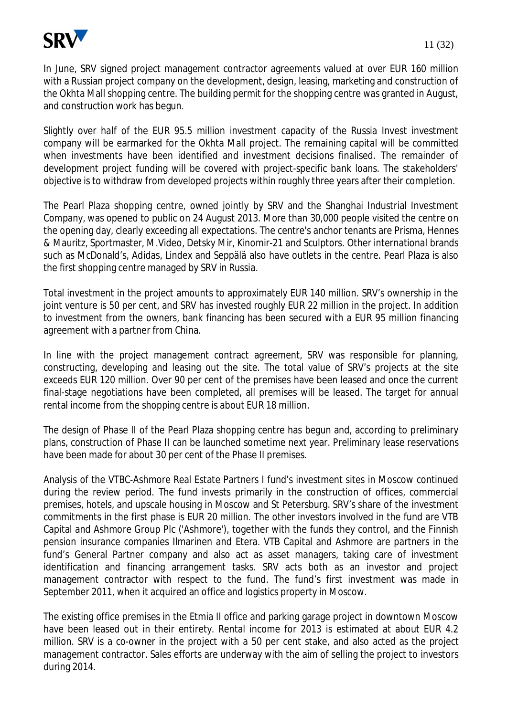

In June, SRV signed project management contractor agreements valued at over EUR 160 million with a Russian project company on the development, design, leasing, marketing and construction of the Okhta Mall shopping centre. The building permit for the shopping centre was granted in August, and construction work has begun.

Slightly over half of the EUR 95.5 million investment capacity of the Russia Invest investment company will be earmarked for the Okhta Mall project. The remaining capital will be committed when investments have been identified and investment decisions finalised. The remainder of development project funding will be covered with project-specific bank loans. The stakeholders' objective is to withdraw from developed projects within roughly three years after their completion.

The Pearl Plaza shopping centre, owned jointly by SRV and the Shanghai Industrial Investment Company, was opened to public on 24 August 2013. More than 30,000 people visited the centre on the opening day, clearly exceeding all expectations. The centre's anchor tenants are Prisma, Hennes & Mauritz, Sportmaster, M.Video, Detsky Mir, Kinomir-21 and Sculptors. Other international brands such as McDonald's, Adidas, Lindex and Seppälä also have outlets in the centre. Pearl Plaza is also the first shopping centre managed by SRV in Russia.

Total investment in the project amounts to approximately EUR 140 million. SRV's ownership in the joint venture is 50 per cent, and SRV has invested roughly EUR 22 million in the project. In addition to investment from the owners, bank financing has been secured with a EUR 95 million financing agreement with a partner from China.

In line with the project management contract agreement, SRV was responsible for planning, constructing, developing and leasing out the site. The total value of SRV's projects at the site exceeds EUR 120 million. Over 90 per cent of the premises have been leased and once the current final-stage negotiations have been completed, all premises will be leased. The target for annual rental income from the shopping centre is about EUR 18 million.

The design of Phase II of the Pearl Plaza shopping centre has begun and, according to preliminary plans, construction of Phase II can be launched sometime next year. Preliminary lease reservations have been made for about 30 per cent of the Phase II premises.

Analysis of the VTBC-Ashmore Real Estate Partners I fund's investment sites in Moscow continued during the review period. The fund invests primarily in the construction of offices, commercial premises, hotels, and upscale housing in Moscow and St Petersburg. SRV's share of the investment commitments in the first phase is EUR 20 million. The other investors involved in the fund are VTB Capital and Ashmore Group Plc ('Ashmore'), together with the funds they control, and the Finnish pension insurance companies Ilmarinen and Etera. VTB Capital and Ashmore are partners in the fund's General Partner company and also act as asset managers, taking care of investment identification and financing arrangement tasks. SRV acts both as an investor and project management contractor with respect to the fund. The fund's first investment was made in September 2011, when it acquired an office and logistics property in Moscow.

The existing office premises in the Etmia II office and parking garage project in downtown Moscow have been leased out in their entirety. Rental income for 2013 is estimated at about EUR 4.2 million. SRV is a co-owner in the project with a 50 per cent stake, and also acted as the project management contractor. Sales efforts are underway with the aim of selling the project to investors during 2014.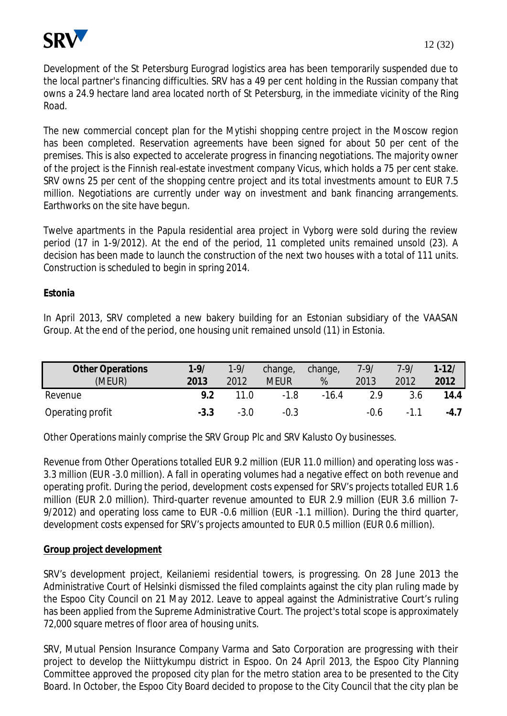

Development of the St Petersburg Eurograd logistics area has been temporarily suspended due to the local partner's financing difficulties. SRV has a 49 per cent holding in the Russian company that owns a 24.9 hectare land area located north of St Petersburg, in the immediate vicinity of the Ring Road.

The new commercial concept plan for the Mytishi shopping centre project in the Moscow region has been completed. Reservation agreements have been signed for about 50 per cent of the premises. This is also expected to accelerate progress in financing negotiations. The majority owner of the project is the Finnish real-estate investment company Vicus, which holds a 75 per cent stake. SRV owns 25 per cent of the shopping centre project and its total investments amount to EUR 7.5 million. Negotiations are currently under way on investment and bank financing arrangements. Earthworks on the site have begun.

Twelve apartments in the Papula residential area project in Vyborg were sold during the review period (17 in 1-9/2012). At the end of the period, 11 completed units remained unsold (23). A decision has been made to launch the construction of the next two houses with a total of 111 units. Construction is scheduled to begin in spring 2014.

## **Estonia**

In April 2013, SRV completed a new bakery building for an Estonian subsidiary of the VAASAN Group. At the end of the period, one housing unit remained unsold (11) in Estonia.

| <b>Other Operations</b><br>(MEUR) | $1 - 9/$<br>2013 | $1 - 9/$<br>2012 | change,<br><b>MEUR</b> | change,<br>% | $7 - 9/$<br>2013 | $7 - 9/$<br>2012 | $1 - 12/$<br>2012 |
|-----------------------------------|------------------|------------------|------------------------|--------------|------------------|------------------|-------------------|
| Revenue                           | 9.2              | 11.0             | $-1.8$                 | $-16.4$      | 2.9              | 3.6              | 14.4              |
| Operating profit                  | $-3.3$           | $-3.0$           | $-0.3$                 |              | -0.6             | $-1.1$           | $-4.7$            |

Other Operations mainly comprise the SRV Group Plc and SRV Kalusto Oy businesses.

Revenue from Other Operations totalled EUR 9.2 million (EUR 11.0 million) and operating loss was - 3.3 million (EUR -3.0 million). A fall in operating volumes had a negative effect on both revenue and operating profit. During the period, development costs expensed for SRV's projects totalled EUR 1.6 million (EUR 2.0 million). Third-quarter revenue amounted to EUR 2.9 million (EUR 3.6 million 7- 9/2012) and operating loss came to EUR -0.6 million (EUR -1.1 million). During the third quarter, development costs expensed for SRV's projects amounted to EUR 0.5 million (EUR 0.6 million).

#### **Group project development**

SRV's development project, Keilaniemi residential towers, is progressing. On 28 June 2013 the Administrative Court of Helsinki dismissed the filed complaints against the city plan ruling made by the Espoo City Council on 21 May 2012. Leave to appeal against the Administrative Court's ruling has been applied from the Supreme Administrative Court. The project's total scope is approximately 72,000 square metres of floor area of housing units.

SRV, Mutual Pension Insurance Company Varma and Sato Corporation are progressing with their project to develop the Niittykumpu district in Espoo. On 24 April 2013, the Espoo City Planning Committee approved the proposed city plan for the metro station area to be presented to the City Board. In October, the Espoo City Board decided to propose to the City Council that the city plan be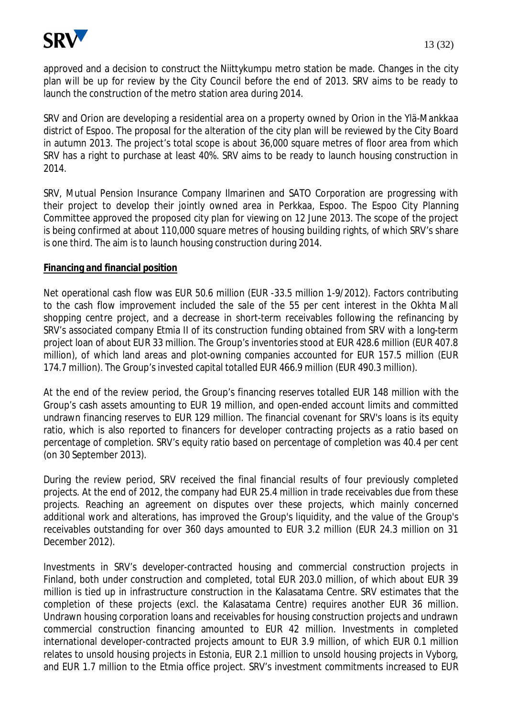

approved and a decision to construct the Niittykumpu metro station be made. Changes in the city plan will be up for review by the City Council before the end of 2013. SRV aims to be ready to launch the construction of the metro station area during 2014.

SRV and Orion are developing a residential area on a property owned by Orion in the Ylä-Mankkaa district of Espoo. The proposal for the alteration of the city plan will be reviewed by the City Board in autumn 2013. The project's total scope is about 36,000 square metres of floor area from which SRV has a right to purchase at least 40%. SRV aims to be ready to launch housing construction in 2014.

SRV, Mutual Pension Insurance Company Ilmarinen and SATO Corporation are progressing with their project to develop their jointly owned area in Perkkaa, Espoo. The Espoo City Planning Committee approved the proposed city plan for viewing on 12 June 2013. The scope of the project is being confirmed at about 110,000 square metres of housing building rights, of which SRV's share is one third. The aim is to launch housing construction during 2014.

#### **Financing and financial position**

Net operational cash flow was EUR 50.6 million (EUR -33.5 million 1-9/2012). Factors contributing to the cash flow improvement included the sale of the 55 per cent interest in the Okhta Mall shopping centre project, and a decrease in short-term receivables following the refinancing by SRV's associated company Etmia II of its construction funding obtained from SRV with a long-term project loan of about EUR 33 million. The Group's inventories stood at EUR 428.6 million (EUR 407.8 million), of which land areas and plot-owning companies accounted for EUR 157.5 million (EUR 174.7 million). The Group's invested capital totalled EUR 466.9 million (EUR 490.3 million).

At the end of the review period, the Group's financing reserves totalled EUR 148 million with the Group's cash assets amounting to EUR 19 million, and open-ended account limits and committed undrawn financing reserves to EUR 129 million. The financial covenant for SRV's loans is its equity ratio, which is also reported to financers for developer contracting projects as a ratio based on percentage of completion. SRV's equity ratio based on percentage of completion was 40.4 per cent (on 30 September 2013).

During the review period, SRV received the final financial results of four previously completed projects. At the end of 2012, the company had EUR 25.4 million in trade receivables due from these projects. Reaching an agreement on disputes over these projects, which mainly concerned additional work and alterations, has improved the Group's liquidity, and the value of the Group's receivables outstanding for over 360 days amounted to EUR 3.2 million (EUR 24.3 million on 31 December 2012).

Investments in SRV's developer-contracted housing and commercial construction projects in Finland, both under construction and completed, total EUR 203.0 million, of which about EUR 39 million is tied up in infrastructure construction in the Kalasatama Centre. SRV estimates that the completion of these projects (excl. the Kalasatama Centre) requires another EUR 36 million. Undrawn housing corporation loans and receivables for housing construction projects and undrawn commercial construction financing amounted to EUR 42 million. Investments in completed international developer-contracted projects amount to EUR 3.9 million, of which EUR 0.1 million relates to unsold housing projects in Estonia, EUR 2.1 million to unsold housing projects in Vyborg, and EUR 1.7 million to the Etmia office project. SRV's investment commitments increased to EUR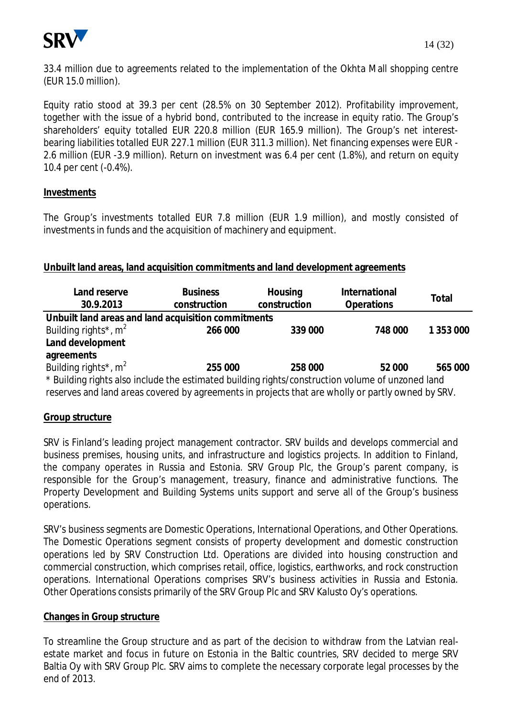

33.4 million due to agreements related to the implementation of the Okhta Mall shopping centre (EUR 15.0 million).

Equity ratio stood at 39.3 per cent (28.5% on 30 September 2012). Profitability improvement, together with the issue of a hybrid bond, contributed to the increase in equity ratio. The Group's shareholders' equity totalled EUR 220.8 million (EUR 165.9 million). The Group's net interestbearing liabilities totalled EUR 227.1 million (EUR 311.3 million). Net financing expenses were EUR - 2.6 million (EUR -3.9 million). Return on investment was 6.4 per cent (1.8%), and return on equity 10.4 per cent (-0.4%).

## **Investments**

The Group's investments totalled EUR 7.8 million (EUR 1.9 million), and mostly consisted of investments in funds and the acquisition of machinery and equipment.

## **Unbuilt land areas, land acquisition commitments and land development agreements**

| Land reserve<br>30.9.2013                                                                         | <b>Business</b><br>construction | Housing<br>construction | International<br>Operations | Total     |
|---------------------------------------------------------------------------------------------------|---------------------------------|-------------------------|-----------------------------|-----------|
| Unbuilt land areas and land acquisition commitments                                               |                                 |                         |                             |           |
| Building rights <sup>*</sup> , $m^2$                                                              | 266 000                         | 339 000                 | 748 000                     | 1 353 000 |
| Land development                                                                                  |                                 |                         |                             |           |
| agreements                                                                                        |                                 |                         |                             |           |
| Building rights <sup>*</sup> , $m^2$                                                              | 255 000                         | 258 000                 | 52 000                      | 565 000   |
| * Building rights also include the estimated building rights/construction volume of unzoned land  |                                 |                         |                             |           |
| reserves and land areas covered by agreements in projects that are wholly or partly owned by SRV. |                                 |                         |                             |           |

#### **Group structure**

SRV is Finland's leading project management contractor. SRV builds and develops commercial and business premises, housing units, and infrastructure and logistics projects. In addition to Finland, the company operates in Russia and Estonia. SRV Group Plc, the Group's parent company, is responsible for the Group's management, treasury, finance and administrative functions. The Property Development and Building Systems units support and serve all of the Group's business operations.

SRV's business segments are Domestic Operations, International Operations, and Other Operations. The Domestic Operations segment consists of property development and domestic construction operations led by SRV Construction Ltd. Operations are divided into housing construction and commercial construction, which comprises retail, office, logistics, earthworks, and rock construction operations. International Operations comprises SRV's business activities in Russia and Estonia. Other Operations consists primarily of the SRV Group Plc and SRV Kalusto Oy's operations.

#### **Changes in Group structure**

To streamline the Group structure and as part of the decision to withdraw from the Latvian realestate market and focus in future on Estonia in the Baltic countries, SRV decided to merge SRV Baltia Oy with SRV Group Plc. SRV aims to complete the necessary corporate legal processes by the end of 2013.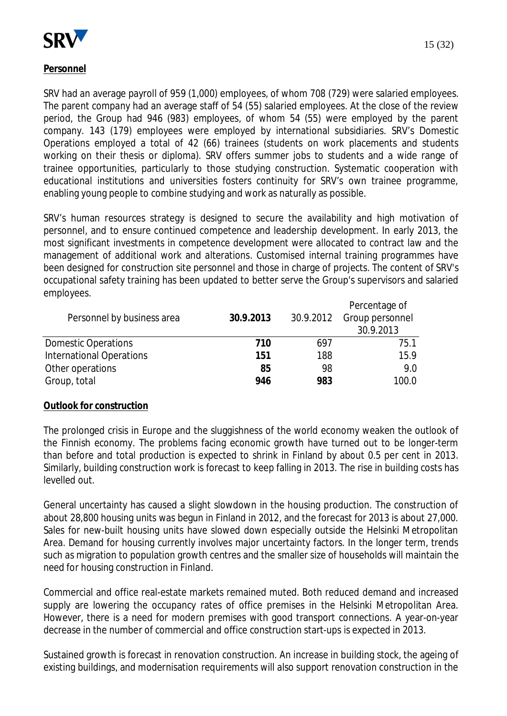

## **Personnel**

SRV had an average payroll of 959 (1,000) employees, of whom 708 (729) were salaried employees. The parent company had an average staff of 54 (55) salaried employees. At the close of the review period, the Group had 946 (983) employees, of whom 54 (55) were employed by the parent company. 143 (179) employees were employed by international subsidiaries. SRV's Domestic Operations employed a total of 42 (66) trainees (students on work placements and students working on their thesis or diploma). SRV offers summer jobs to students and a wide range of trainee opportunities, particularly to those studying construction. Systematic cooperation with educational institutions and universities fosters continuity for SRV's own trainee programme, enabling young people to combine studying and work as naturally as possible.

SRV's human resources strategy is designed to secure the availability and high motivation of personnel, and to ensure continued competence and leadership development. In early 2013, the most significant investments in competence development were allocated to contract law and the management of additional work and alterations. Customised internal training programmes have been designed for construction site personnel and those in charge of projects. The content of SRV's occupational safety training has been updated to better serve the Group's supervisors and salaried employees.

|                            |           |           | Percentage of   |
|----------------------------|-----------|-----------|-----------------|
| Personnel by business area | 30.9.2013 | 30.9.2012 | Group personnel |
|                            |           |           | 30.9.2013       |
| <b>Domestic Operations</b> | 710       | 697       | 75.1            |
| International Operations   | 151       | 188       | 15.9            |
| Other operations           | 85        | 98        | 9.0             |
| Group, total               | 946       | 983       | 100.0           |
|                            |           |           |                 |

#### **Outlook for construction**

The prolonged crisis in Europe and the sluggishness of the world economy weaken the outlook of the Finnish economy. The problems facing economic growth have turned out to be longer-term than before and total production is expected to shrink in Finland by about 0.5 per cent in 2013. Similarly, building construction work is forecast to keep falling in 2013. The rise in building costs has levelled out.

General uncertainty has caused a slight slowdown in the housing production. The construction of about 28,800 housing units was begun in Finland in 2012, and the forecast for 2013 is about 27,000. Sales for new-built housing units have slowed down especially outside the Helsinki Metropolitan Area. Demand for housing currently involves major uncertainty factors. In the longer term, trends such as migration to population growth centres and the smaller size of households will maintain the need for housing construction in Finland.

Commercial and office real-estate markets remained muted. Both reduced demand and increased supply are lowering the occupancy rates of office premises in the Helsinki Metropolitan Area. However, there is a need for modern premises with good transport connections. A year-on-year decrease in the number of commercial and office construction start-ups is expected in 2013.

Sustained growth is forecast in renovation construction. An increase in building stock, the ageing of existing buildings, and modernisation requirements will also support renovation construction in the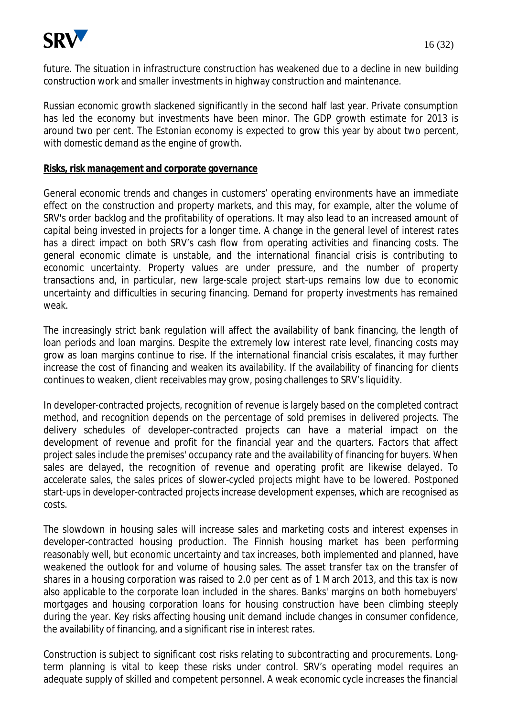

future. The situation in infrastructure construction has weakened due to a decline in new building construction work and smaller investments in highway construction and maintenance.

Russian economic growth slackened significantly in the second half last year. Private consumption has led the economy but investments have been minor. The GDP growth estimate for 2013 is around two per cent. The Estonian economy is expected to grow this year by about two percent, with domestic demand as the engine of growth.

#### **Risks, risk management and corporate governance**

General economic trends and changes in customers' operating environments have an immediate effect on the construction and property markets, and this may, for example, alter the volume of SRV's order backlog and the profitability of operations. It may also lead to an increased amount of capital being invested in projects for a longer time. A change in the general level of interest rates has a direct impact on both SRV's cash flow from operating activities and financing costs. The general economic climate is unstable, and the international financial crisis is contributing to economic uncertainty. Property values are under pressure, and the number of property transactions and, in particular, new large-scale project start-ups remains low due to economic uncertainty and difficulties in securing financing. Demand for property investments has remained weak.

The increasingly strict bank regulation will affect the availability of bank financing, the length of loan periods and loan margins. Despite the extremely low interest rate level, financing costs may grow as loan margins continue to rise. If the international financial crisis escalates, it may further increase the cost of financing and weaken its availability. If the availability of financing for clients continues to weaken, client receivables may grow, posing challenges to SRV's liquidity.

In developer-contracted projects, recognition of revenue is largely based on the completed contract method, and recognition depends on the percentage of sold premises in delivered projects. The delivery schedules of developer-contracted projects can have a material impact on the development of revenue and profit for the financial year and the quarters. Factors that affect project sales include the premises' occupancy rate and the availability of financing for buyers. When sales are delayed, the recognition of revenue and operating profit are likewise delayed. To accelerate sales, the sales prices of slower-cycled projects might have to be lowered. Postponed start-ups in developer-contracted projects increase development expenses, which are recognised as costs.

The slowdown in housing sales will increase sales and marketing costs and interest expenses in developer-contracted housing production. The Finnish housing market has been performing reasonably well, but economic uncertainty and tax increases, both implemented and planned, have weakened the outlook for and volume of housing sales. The asset transfer tax on the transfer of shares in a housing corporation was raised to 2.0 per cent as of 1 March 2013, and this tax is now also applicable to the corporate loan included in the shares. Banks' margins on both homebuyers' mortgages and housing corporation loans for housing construction have been climbing steeply during the year. Key risks affecting housing unit demand include changes in consumer confidence, the availability of financing, and a significant rise in interest rates.

Construction is subject to significant cost risks relating to subcontracting and procurements. Longterm planning is vital to keep these risks under control. SRV's operating model requires an adequate supply of skilled and competent personnel. A weak economic cycle increases the financial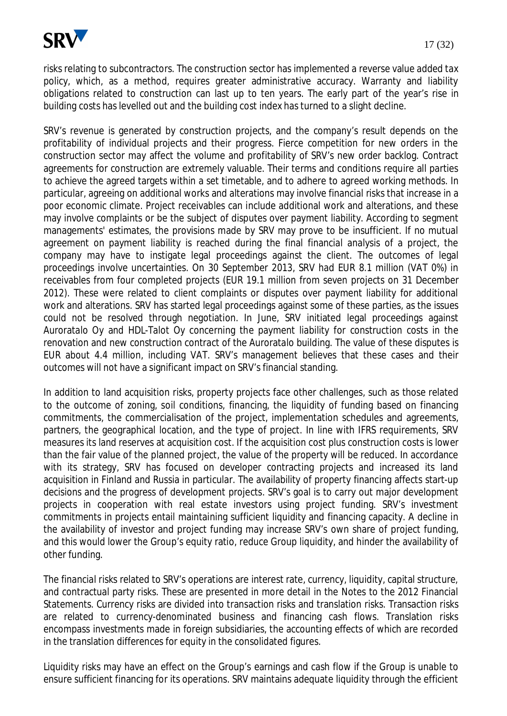

risks relating to subcontractors. The construction sector has implemented a reverse value added tax policy, which, as a method, requires greater administrative accuracy. Warranty and liability obligations related to construction can last up to ten years. The early part of the year's rise in building costs has levelled out and the building cost index has turned to a slight decline.

SRV's revenue is generated by construction projects, and the company's result depends on the profitability of individual projects and their progress. Fierce competition for new orders in the construction sector may affect the volume and profitability of SRV's new order backlog. Contract agreements for construction are extremely valuable. Their terms and conditions require all parties to achieve the agreed targets within a set timetable, and to adhere to agreed working methods. In particular, agreeing on additional works and alterations may involve financial risks that increase in a poor economic climate. Project receivables can include additional work and alterations, and these may involve complaints or be the subject of disputes over payment liability. According to segment managements' estimates, the provisions made by SRV may prove to be insufficient. If no mutual agreement on payment liability is reached during the final financial analysis of a project, the company may have to instigate legal proceedings against the client. The outcomes of legal proceedings involve uncertainties. On 30 September 2013, SRV had EUR 8.1 million (VAT 0%) in receivables from four completed projects (EUR 19.1 million from seven projects on 31 December 2012). These were related to client complaints or disputes over payment liability for additional work and alterations. SRV has started legal proceedings against some of these parties, as the issues could not be resolved through negotiation. In June, SRV initiated legal proceedings against Auroratalo Oy and HDL-Talot Oy concerning the payment liability for construction costs in the renovation and new construction contract of the Auroratalo building. The value of these disputes is EUR about 4.4 million, including VAT. SRV's management believes that these cases and their outcomes will not have a significant impact on SRV's financial standing.

In addition to land acquisition risks, property projects face other challenges, such as those related to the outcome of zoning, soil conditions, financing, the liquidity of funding based on financing commitments, the commercialisation of the project, implementation schedules and agreements, partners, the geographical location, and the type of project. In line with IFRS requirements, SRV measures its land reserves at acquisition cost. If the acquisition cost plus construction costs is lower than the fair value of the planned project, the value of the property will be reduced. In accordance with its strategy, SRV has focused on developer contracting projects and increased its land acquisition in Finland and Russia in particular. The availability of property financing affects start-up decisions and the progress of development projects. SRV's goal is to carry out major development projects in cooperation with real estate investors using project funding. SRV's investment commitments in projects entail maintaining sufficient liquidity and financing capacity. A decline in the availability of investor and project funding may increase SRV's own share of project funding, and this would lower the Group's equity ratio, reduce Group liquidity, and hinder the availability of other funding.

The financial risks related to SRV's operations are interest rate, currency, liquidity, capital structure, and contractual party risks. These are presented in more detail in the Notes to the 2012 Financial Statements. Currency risks are divided into transaction risks and translation risks. Transaction risks are related to currency-denominated business and financing cash flows. Translation risks encompass investments made in foreign subsidiaries, the accounting effects of which are recorded in the translation differences for equity in the consolidated figures.

Liquidity risks may have an effect on the Group's earnings and cash flow if the Group is unable to ensure sufficient financing for its operations. SRV maintains adequate liquidity through the efficient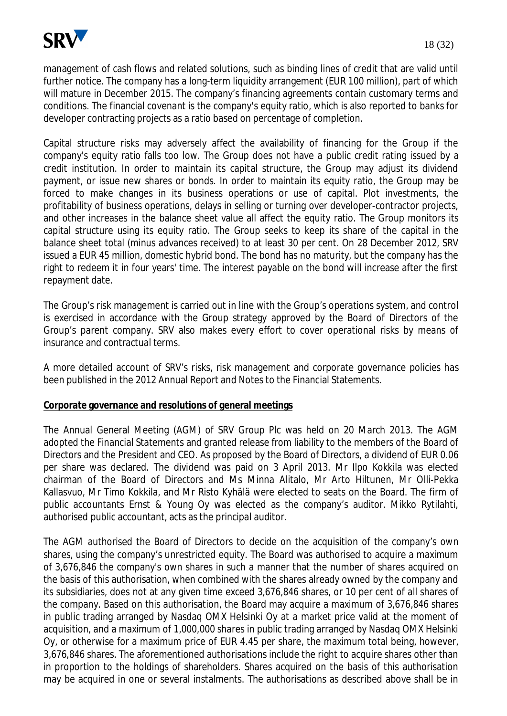

management of cash flows and related solutions, such as binding lines of credit that are valid until further notice. The company has a long-term liquidity arrangement (EUR 100 million), part of which will mature in December 2015. The company's financing agreements contain customary terms and conditions. The financial covenant is the company's equity ratio, which is also reported to banks for developer contracting projects as a ratio based on percentage of completion.

Capital structure risks may adversely affect the availability of financing for the Group if the company's equity ratio falls too low. The Group does not have a public credit rating issued by a credit institution. In order to maintain its capital structure, the Group may adjust its dividend payment, or issue new shares or bonds. In order to maintain its equity ratio, the Group may be forced to make changes in its business operations or use of capital. Plot investments, the profitability of business operations, delays in selling or turning over developer-contractor projects, and other increases in the balance sheet value all affect the equity ratio. The Group monitors its capital structure using its equity ratio. The Group seeks to keep its share of the capital in the balance sheet total (minus advances received) to at least 30 per cent. On 28 December 2012, SRV issued a EUR 45 million, domestic hybrid bond. The bond has no maturity, but the company has the right to redeem it in four years' time. The interest payable on the bond will increase after the first repayment date.

The Group's risk management is carried out in line with the Group's operations system, and control is exercised in accordance with the Group strategy approved by the Board of Directors of the Group's parent company. SRV also makes every effort to cover operational risks by means of insurance and contractual terms.

A more detailed account of SRV's risks, risk management and corporate governance policies has been published in the 2012 Annual Report and Notes to the Financial Statements.

#### **Corporate governance and resolutions of general meetings**

The Annual General Meeting (AGM) of SRV Group Plc was held on 20 March 2013. The AGM adopted the Financial Statements and granted release from liability to the members of the Board of Directors and the President and CEO. As proposed by the Board of Directors, a dividend of EUR 0.06 per share was declared. The dividend was paid on 3 April 2013. Mr Ilpo Kokkila was elected chairman of the Board of Directors and Ms Minna Alitalo, Mr Arto Hiltunen, Mr Olli-Pekka Kallasvuo, Mr Timo Kokkila, and Mr Risto Kyhälä were elected to seats on the Board. The firm of public accountants Ernst & Young Oy was elected as the company's auditor. Mikko Rytilahti, authorised public accountant, acts as the principal auditor.

The AGM authorised the Board of Directors to decide on the acquisition of the company's own shares, using the company's unrestricted equity. The Board was authorised to acquire a maximum of 3,676,846 the company's own shares in such a manner that the number of shares acquired on the basis of this authorisation, when combined with the shares already owned by the company and its subsidiaries, does not at any given time exceed 3,676,846 shares, or 10 per cent of all shares of the company. Based on this authorisation, the Board may acquire a maximum of 3,676,846 shares in public trading arranged by Nasdaq OMX Helsinki Oy at a market price valid at the moment of acquisition, and a maximum of 1,000,000 shares in public trading arranged by Nasdaq OMX Helsinki Oy, or otherwise for a maximum price of EUR 4.45 per share, the maximum total being, however, 3,676,846 shares. The aforementioned authorisations include the right to acquire shares other than in proportion to the holdings of shareholders. Shares acquired on the basis of this authorisation may be acquired in one or several instalments. The authorisations as described above shall be in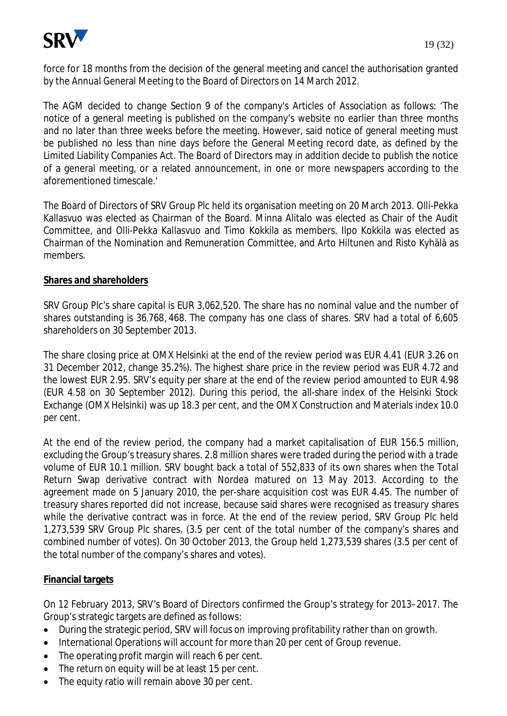

force for 18 months from the decision of the general meeting and cancel the authorisation granted by the Annual General Meeting to the Board of Directors on 14 March 2012.

The AGM decided to change Section 9 of the company's Articles of Association as follows: 'The notice of a general meeting is published on the company's website no earlier than three months and no later than three weeks before the meeting. However, said notice of general meeting must be published no less than nine days before the General Meeting record date, as defined by the Limited Liability Companies Act. The Board of Directors may in addition decide to publish the notice of a general meeting, or a related announcement, in one or more newspapers according to the aforementioned timescale.'

The Board of Directors of SRV Group Plc held its organisation meeting on 20 March 2013. Olli-Pekka Kallasvuo was elected as Chairman of the Board. Minna Alitalo was elected as Chair of the Audit Committee, and Olli-Pekka Kallasvuo and Timo Kokkila as members. Ilpo Kokkila was elected as Chairman of the Nomination and Remuneration Committee, and Arto Hiltunen and Risto Kyhälä as members.

#### **Shares and shareholders**

SRV Group Plc's share capital is EUR 3,062,520. The share has no nominal value and the number of shares outstanding is 36,768,468. The company has one class of shares. SRV had a total of 6,605 shareholders on 30 September 2013.

The share closing price at OMX Helsinki at the end of the review period was EUR 4.41 (EUR 3.26 on 31 December 2012, change 35.2%). The highest share price in the review period was EUR 4.72 and the lowest EUR 2.95. SRV's equity per share at the end of the review period amounted to EUR 4.98 (EUR 4.58 on 30 September 2012). During this period, the all-share index of the Helsinki Stock Exchange (OMX Helsinki) was up 18.3 per cent, and the OMX Construction and Materials index 10.0 per cent.

At the end of the review period, the company had a market capitalisation of EUR 156.5 million, excluding the Group's treasury shares. 2.8 million shares were traded during the period with a trade volume of EUR 10.1 million. SRV bought back a total of 552,833 of its own shares when the Total Return Swap derivative contract with Nordea matured on 13 May 2013. According to the agreement made on 5 January 2010, the per-share acquisition cost was EUR 4.45. The number of treasury shares reported did not increase, because said shares were recognised as treasury shares while the derivative contract was in force. At the end of the review period, SRV Group Plc held 1,273,539 SRV Group Plc shares, (3.5 per cent of the total number of the company's shares and combined number of votes). On 30 October 2013, the Group held 1,273,539 shares (3.5 per cent of the total number of the company's shares and votes).

#### **Financial targets**

On 12 February 2013, SRV's Board of Directors confirmed the Group's strategy for 2013–2017. The Group's strategic targets are defined as follows:

- During the strategic period, SRV will focus on improving profitability rather than on growth.
- International Operations will account for more than 20 per cent of Group revenue.
- $\bullet$  The operating profit margin will reach 6 per cent.
- $\bullet$  The return on equity will be at least 15 per cent.
- $\bullet$  The equity ratio will remain above 30 per cent.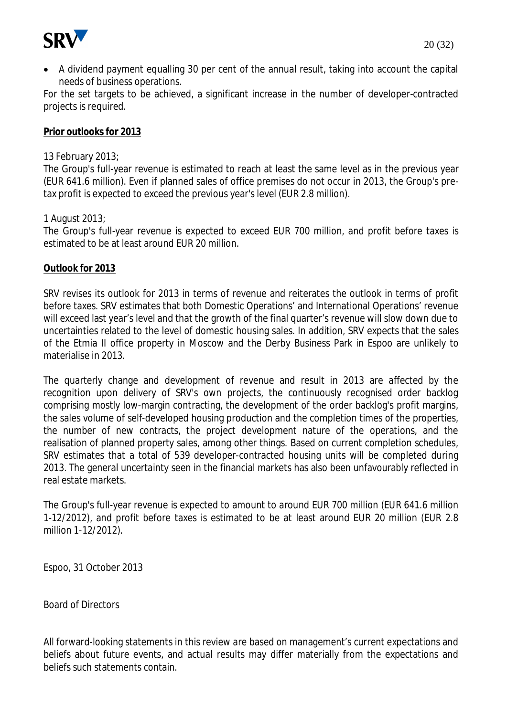

• A dividend payment equalling 30 per cent of the annual result, taking into account the capital needs of business operations.

For the set targets to be achieved, a significant increase in the number of developer-contracted projects is required.

## **Prior outlooks for 2013**

#### 13 February 2013;

The Group's full-year revenue is estimated to reach at least the same level as in the previous year (EUR 641.6 million). Even if planned sales of office premises do not occur in 2013, the Group's pretax profit is expected to exceed the previous year's level (EUR 2.8 million).

#### 1 August 2013;

The Group's full-year revenue is expected to exceed EUR 700 million, and profit before taxes is estimated to be at least around EUR 20 million.

#### **Outlook for 2013**

SRV revises its outlook for 2013 in terms of revenue and reiterates the outlook in terms of profit before taxes. SRV estimates that both Domestic Operations' and International Operations' revenue will exceed last year's level and that the growth of the final quarter's revenue will slow down due to uncertainties related to the level of domestic housing sales. In addition, SRV expects that the sales of the Etmia II office property in Moscow and the Derby Business Park in Espoo are unlikely to materialise in 2013.

The quarterly change and development of revenue and result in 2013 are affected by the recognition upon delivery of SRV's own projects, the continuously recognised order backlog comprising mostly low-margin contracting, the development of the order backlog's profit margins, the sales volume of self-developed housing production and the completion times of the properties, the number of new contracts, the project development nature of the operations, and the realisation of planned property sales, among other things. Based on current completion schedules, SRV estimates that a total of 539 developer-contracted housing units will be completed during 2013. The general uncertainty seen in the financial markets has also been unfavourably reflected in real estate markets.

The Group's full-year revenue is expected to amount to around EUR 700 million (EUR 641.6 million 1-12/2012), and profit before taxes is estimated to be at least around EUR 20 million (EUR 2.8 million 1-12/2012).

Espoo, 31 October 2013

Board of Directors

All forward-looking statements in this review are based on management's current expectations and beliefs about future events, and actual results may differ materially from the expectations and beliefs such statements contain.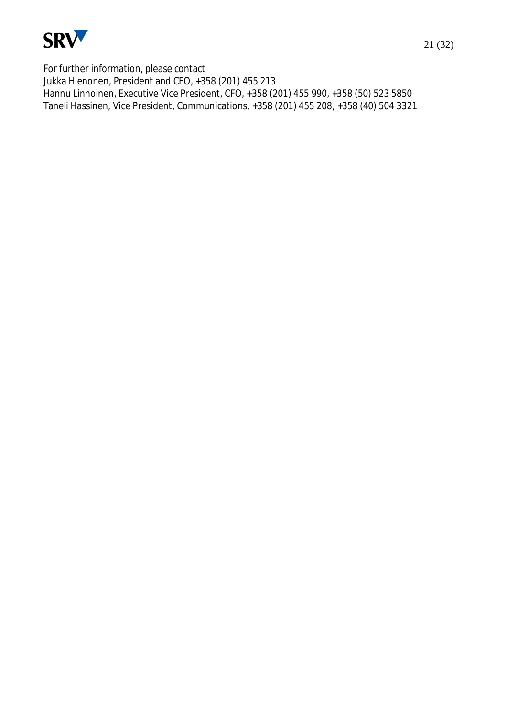

For further information, please contact Jukka Hienonen, President and CEO, +358 (201) 455 213 Hannu Linnoinen, Executive Vice President, CFO, +358 (201) 455 990, +358 (50) 523 5850 Taneli Hassinen, Vice President, Communications, +358 (201) 455 208, +358 (40) 504 3321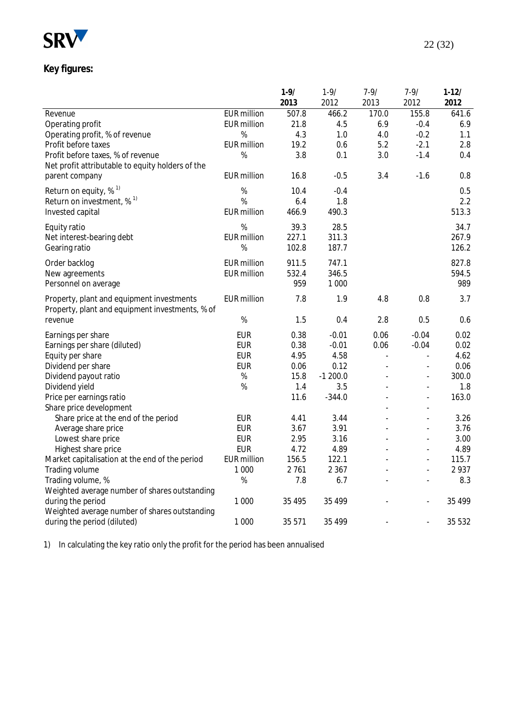

# **Key figures:**

|                                                  |                         | $1 - 9/$ | $1 - 9/$  | 7-9/  | $7 - 9/$                 | $1 - 12/$ |
|--------------------------------------------------|-------------------------|----------|-----------|-------|--------------------------|-----------|
|                                                  |                         | 2013     | 2012      | 2013  | 2012                     | 2012      |
| Revenue                                          | <b>EUR million</b>      | 507.8    | 466.2     | 170.0 | 155.8                    | 641.6     |
| Operating profit                                 | <b>EUR</b> million      | 21.8     | 4.5       | 6.9   | $-0.4$                   | 6.9       |
| Operating profit, % of revenue                   | %                       | 4.3      | 1.0       | 4.0   | $-0.2$                   | 1.1       |
| Profit before taxes                              | <b>EUR</b> million      | 19.2     | 0.6       | 5.2   | $-2.1$                   | 2.8       |
| Profit before taxes, % of revenue                | %                       | 3.8      | 0.1       | 3.0   | $-1.4$                   | 0.4       |
| Net profit attributable to equity holders of the |                         |          |           |       |                          |           |
| parent company                                   | <b>EUR</b> million      | 16.8     | $-0.5$    | 3.4   | $-1.6$                   | 0.8       |
| Return on equity, $%$ <sup>1)</sup>              | %                       | 10.4     | $-0.4$    |       |                          | 0.5       |
| Return on investment, $\%$ <sup>1)</sup>         | %                       | 6.4      | 1.8       |       |                          | 2.2       |
| Invested capital                                 | <b>EUR</b> million      | 466.9    | 490.3     |       |                          | 513.3     |
|                                                  |                         |          |           |       |                          |           |
| Equity ratio                                     | %                       | 39.3     | 28.5      |       |                          | 34.7      |
| Net interest-bearing debt                        | <b>EUR</b> million<br>% | 227.1    | 311.3     |       |                          | 267.9     |
| Gearing ratio                                    |                         | 102.8    | 187.7     |       |                          | 126.2     |
| Order backlog                                    | <b>EUR</b> million      | 911.5    | 747.1     |       |                          | 827.8     |
| New agreements                                   | <b>EUR</b> million      | 532.4    | 346.5     |       |                          | 594.5     |
| Personnel on average                             |                         | 959      | 1 0 0 0   |       |                          | 989       |
| Property, plant and equipment investments        | <b>EUR million</b>      | 7.8      | 1.9       | 4.8   | 0.8                      | 3.7       |
| Property, plant and equipment investments, % of  |                         |          |           |       |                          |           |
| revenue                                          | $\%$                    | 1.5      | 0.4       | 2.8   | 0.5                      | 0.6       |
| Earnings per share                               | <b>EUR</b>              | 0.38     | $-0.01$   | 0.06  | $-0.04$                  | 0.02      |
| Earnings per share (diluted)                     | <b>EUR</b>              | 0.38     | $-0.01$   | 0.06  | $-0.04$                  | 0.02      |
| Equity per share                                 | <b>EUR</b>              | 4.95     | 4.58      | L.    | $\overline{a}$           | 4.62      |
| Dividend per share                               | <b>EUR</b>              | 0.06     | 0.12      |       | $\overline{a}$           | 0.06      |
| Dividend payout ratio                            | $\%$                    | 15.8     | $-1200.0$ |       | $\overline{a}$           | 300.0     |
| Dividend yield                                   | %                       | 1.4      | 3.5       |       | $\overline{a}$           | 1.8       |
| Price per earnings ratio                         |                         | 11.6     | $-344.0$  |       | $\overline{a}$           | 163.0     |
| Share price development                          |                         |          |           |       |                          |           |
| Share price at the end of the period             | <b>EUR</b>              | 4.41     | 3.44      |       | $\overline{a}$           | 3.26      |
| Average share price                              | <b>EUR</b>              | 3.67     | 3.91      |       | $\overline{\phantom{a}}$ | 3.76      |
| Lowest share price                               | <b>EUR</b>              | 2.95     | 3.16      |       | $\blacksquare$           | 3.00      |
| Highest share price                              | <b>EUR</b>              | 4.72     | 4.89      |       | $\overline{a}$           | 4.89      |
| Market capitalisation at the end of the period   | <b>EUR</b> million      | 156.5    | 122.1     |       | $\frac{1}{2}$            | 115.7     |
| Trading volume                                   | 1 0 0 0                 | 2761     | 2 3 6 7   |       | $\overline{\phantom{a}}$ | 2937      |
| Trading volume, %                                | $\%$                    | 7.8      | 6.7       |       |                          | 8.3       |
| Weighted average number of shares outstanding    |                         |          |           |       |                          |           |
| during the period                                | 1 0 0 0                 | 35 4 95  | 35 499    |       |                          | 35 4 9 9  |
| Weighted average number of shares outstanding    |                         |          |           |       |                          |           |
| during the period (diluted)                      | 1 0 0 0                 | 35 571   | 35 499    |       | $\blacksquare$           | 35 5 32   |

1) In calculating the key ratio only the profit for the period has been annualised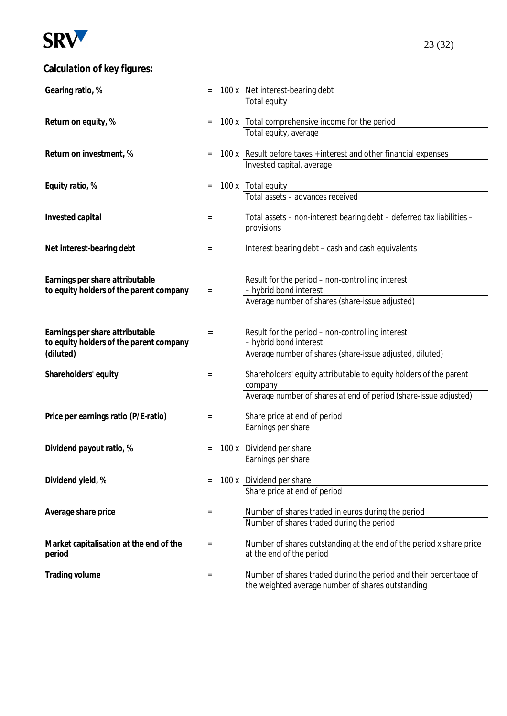

# **Calculation of key figures:**

| Gearing ratio, %                        |                 | 100 x Net interest-bearing debt                                          |
|-----------------------------------------|-----------------|--------------------------------------------------------------------------|
|                                         |                 | Total equity                                                             |
|                                         |                 |                                                                          |
| Return on equity, %                     | $=$             | 100 x Total comprehensive income for the period<br>Total equity, average |
|                                         |                 |                                                                          |
| Return on investment, %                 | $=$             | 100 x Result before taxes + interest and other financial expenses        |
|                                         |                 | Invested capital, average                                                |
|                                         |                 |                                                                          |
| Equity ratio, %                         | $=$             | 100 x Total equity<br>Total assets - advances received                   |
|                                         |                 |                                                                          |
| Invested capital                        | $=$             | Total assets - non-interest bearing debt - deferred tax liabilities -    |
|                                         |                 | provisions                                                               |
|                                         |                 |                                                                          |
| Net interest-bearing debt               | $=$             | Interest bearing debt - cash and cash equivalents                        |
|                                         |                 |                                                                          |
| Earnings per share attributable         |                 | Result for the period - non-controlling interest                         |
| to equity holders of the parent company | $\quad \  \  =$ | - hybrid bond interest                                                   |
|                                         |                 | Average number of shares (share-issue adjusted)                          |
|                                         |                 |                                                                          |
| Earnings per share attributable         | $=$             | Result for the period - non-controlling interest                         |
| to equity holders of the parent company |                 | - hybrid bond interest                                                   |
| (diluted)                               |                 | Average number of shares (share-issue adjusted, diluted)                 |
|                                         |                 | Shareholders' equity attributable to equity holders of the parent        |
| Shareholders' equity                    | $=$             | company                                                                  |
|                                         |                 | Average number of shares at end of period (share-issue adjusted)         |
|                                         |                 |                                                                          |
| Price per earnings ratio (P/E-ratio)    | $=$             | Share price at end of period                                             |
|                                         |                 | Earnings per share                                                       |
| Dividend payout ratio, %                |                 | 100 x Dividend per share                                                 |
|                                         |                 | Earnings per share                                                       |
|                                         |                 |                                                                          |
| Dividend yield, %                       | $=$             | 100 x Dividend per share                                                 |
|                                         |                 | Share price at end of period                                             |
| Average share price                     | $=$             | Number of shares traded in euros during the period                       |
|                                         |                 | Number of shares traded during the period                                |
|                                         |                 |                                                                          |
| Market capitalisation at the end of the | $=$             | Number of shares outstanding at the end of the period x share price      |
| period                                  |                 | at the end of the period                                                 |
| Trading volume                          | $=$             | Number of shares traded during the period and their percentage of        |
|                                         |                 | the weighted average number of shares outstanding                        |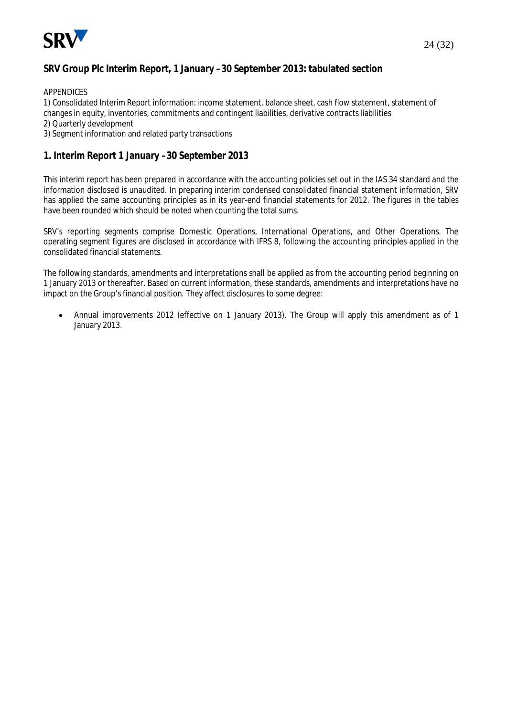

#### **SRV Group Plc Interim Report, 1 January –30 September 2013: tabulated section**

#### APPENDICES

1) Consolidated Interim Report information: income statement, balance sheet, cash flow statement, statement of changes in equity, inventories, commitments and contingent liabilities, derivative contracts liabilities

- 2) Quarterly development
- 3) Segment information and related party transactions

#### **1. Interim Report 1 January –30 September 2013**

This interim report has been prepared in accordance with the accounting policies set out in the IAS 34 standard and the information disclosed is unaudited. In preparing interim condensed consolidated financial statement information, SRV has applied the same accounting principles as in its year-end financial statements for 2012. The figures in the tables have been rounded which should be noted when counting the total sums.

SRV's reporting segments comprise Domestic Operations, International Operations, and Other Operations. The operating segment figures are disclosed in accordance with IFRS 8, following the accounting principles applied in the consolidated financial statements.

The following standards, amendments and interpretations shall be applied as from the accounting period beginning on 1 January 2013 or thereafter. Based on current information, these standards, amendments and interpretations have no impact on the Group's financial position. They affect disclosures to some degree:

x Annual improvements 2012 (effective on 1 January 2013). The Group will apply this amendment as of 1 January 2013.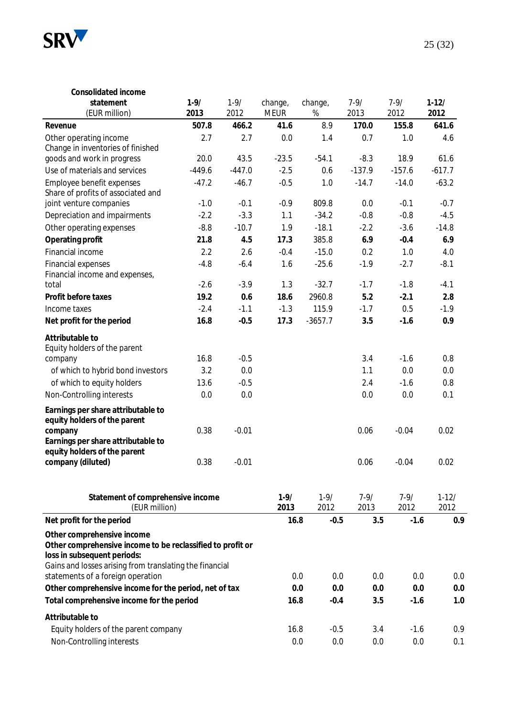

| Consolidated income                                                                                                         |                  |                  |                        |                  |                  |                  |                   |
|-----------------------------------------------------------------------------------------------------------------------------|------------------|------------------|------------------------|------------------|------------------|------------------|-------------------|
| statement<br>(EUR million)                                                                                                  | $1 - 9/$<br>2013 | $1 - 9/$<br>2012 | change,<br><b>MEUR</b> | change,<br>$\%$  | $7 - 9/$<br>2013 | $7 - 9/$<br>2012 | $1-12/$<br>2012   |
| Revenue                                                                                                                     | 507.8            | 466.2            | 41.6                   | 8.9              | 170.0            | 155.8            | 641.6             |
| Other operating income<br>Change in inventories of finished                                                                 | 2.7              | 2.7              | 0.0                    | 1.4              | 0.7              | 1.0              | 4.6               |
| goods and work in progress                                                                                                  | 20.0             | 43.5             | $-23.5$                | $-54.1$          | $-8.3$           | 18.9             | 61.6              |
| Use of materials and services                                                                                               | $-449.6$         | $-447.0$         | $-2.5$                 | 0.6              | $-137.9$         | $-157.6$         | $-617.7$          |
| Employee benefit expenses<br>Share of profits of associated and                                                             | $-47.2$          | $-46.7$          | $-0.5$                 | 1.0              | $-14.7$          | $-14.0$          | $-63.2$           |
| joint venture companies                                                                                                     | $-1.0$           | $-0.1$           | $-0.9$                 | 809.8            | 0.0              | $-0.1$           | $-0.7$            |
| Depreciation and impairments                                                                                                | $-2.2$           | $-3.3$           | 1.1                    | $-34.2$          | $-0.8$           | $-0.8$           | $-4.5$            |
| Other operating expenses                                                                                                    | $-8.8$           | $-10.7$          | 1.9                    | $-18.1$          | $-2.2$           | $-3.6$           | $-14.8$           |
| Operating profit                                                                                                            | 21.8             | 4.5              | 17.3                   | 385.8            | 6.9              | $-0.4$           | 6.9               |
| Financial income                                                                                                            | 2.2              | 2.6              | $-0.4$                 | $-15.0$          | 0.2              | 1.0              | 4.0               |
| <b>Financial expenses</b><br>Financial income and expenses,                                                                 | $-4.8$           | $-6.4$           | 1.6                    | $-25.6$          | $-1.9$           | $-2.7$           | $-8.1$            |
| total                                                                                                                       | $-2.6$           | $-3.9$           | 1.3                    | $-32.7$          | $-1.7$           | $-1.8$           | $-4.1$            |
| Profit before taxes                                                                                                         | 19.2             | 0.6              | 18.6                   | 2960.8           | 5.2              | $-2.1$           | 2.8               |
| Income taxes                                                                                                                | $-2.4$           | $-1.1$           | $-1.3$                 | 115.9            | $-1.7$           | 0.5              | $-1.9$            |
| Net profit for the period                                                                                                   | 16.8             | $-0.5$           | 17.3                   | $-3657.7$        | 3.5              | $-1.6$           | 0.9               |
| Attributable to<br>Equity holders of the parent                                                                             |                  |                  |                        |                  |                  |                  |                   |
| company                                                                                                                     | 16.8             | $-0.5$           |                        |                  | 3.4              | $-1.6$           | 0.8               |
| of which to hybrid bond investors                                                                                           | 3.2              | 0.0              |                        |                  | 1.1              | 0.0              | 0.0               |
| of which to equity holders                                                                                                  | 13.6             | $-0.5$           |                        |                  | 2.4              | $-1.6$           | 0.8               |
| Non-Controlling interests                                                                                                   | 0.0              | 0.0              |                        |                  | 0.0              | 0.0              | 0.1               |
| Earnings per share attributable to<br>equity holders of the parent                                                          |                  |                  |                        |                  |                  |                  |                   |
| company                                                                                                                     | 0.38             | $-0.01$          |                        |                  | 0.06             | $-0.04$          | 0.02              |
| Earnings per share attributable to<br>equity holders of the parent                                                          |                  |                  |                        |                  |                  |                  |                   |
| company (diluted)                                                                                                           | 0.38             | $-0.01$          |                        |                  | 0.06             | $-0.04$          | 0.02              |
| Statement of comprehensive income<br>(EUR million)                                                                          |                  |                  | $1 - 9/$<br>2013       | $1 - 9/$<br>2012 | $7 - 9/$<br>2013 | $7 - 9/$<br>2012 | $1 - 12/$<br>2012 |
| Net profit for the period                                                                                                   |                  |                  | 16.8                   | $-0.5$           | 3.5              | $-1.6$           | 0.9               |
| Other comprehensive income<br>Other comprehensive income to be reclassified to profit or                                    |                  |                  |                        |                  |                  |                  |                   |
| loss in subsequent periods:<br>Gains and losses arising from translating the financial<br>statements of a foreign operation |                  |                  |                        | 0.0<br>0.0       | 0.0              | 0.0              | 0. <sub>C</sub>   |
| Other comprehensive income for the period, net of tax                                                                       |                  |                  |                        | 0.0<br>0.0       | 0.0              | 0.0              | 0. <sub>C</sub>   |
| Total comprehensive income for the period                                                                                   |                  |                  | 16.8                   | $-0.4$           | 3.5              | $-1.6$           | 1 <sub>c</sub>    |
|                                                                                                                             |                  |                  |                        |                  |                  |                  |                   |
| Attributable to<br>Equity holders of the parent company                                                                     |                  |                  | 16.8                   | $-0.5$           | 3.4              | $-1.6$           | 0.9               |
| Non-Controlling interests                                                                                                   |                  |                  |                        | 0.0<br>0.0       | 0.0              | 0.0              | 0.1               |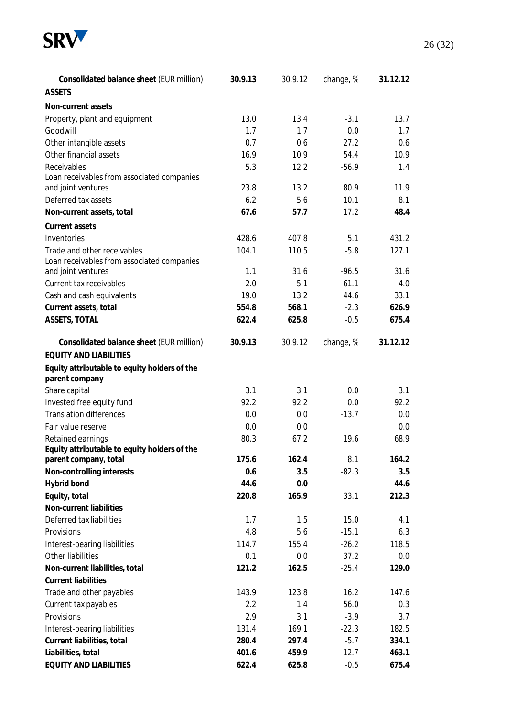

| Consolidated balance sheet (EUR million)     | 30.9.13 | 30.9.12 | change, % | 31.12.12 |
|----------------------------------------------|---------|---------|-----------|----------|
| <b>ASSETS</b>                                |         |         |           |          |
| Non-current assets                           |         |         |           |          |
| Property, plant and equipment                | 13.0    | 13.4    | $-3.1$    | 13.7     |
| Goodwill                                     | 1.7     | 1.7     | 0.0       | 1.7      |
| Other intangible assets                      | 0.7     | 0.6     | 27.2      | 0.6      |
| Other financial assets                       | 16.9    | 10.9    | 54.4      | 10.9     |
| Receivables                                  | 5.3     | 12.2    | $-56.9$   | 1.4      |
| Loan receivables from associated companies   |         |         |           |          |
| and joint ventures                           | 23.8    | 13.2    | 80.9      | 11.9     |
| Deferred tax assets                          | 6.2     | 5.6     | 10.1      | 8.1      |
| Non-current assets, total                    | 67.6    | 57.7    | 17.2      | 48.4     |
| Current assets                               |         |         |           |          |
| Inventories                                  | 428.6   | 407.8   | 5.1       | 431.2    |
| Trade and other receivables                  | 104.1   | 110.5   | $-5.8$    | 127.1    |
| Loan receivables from associated companies   |         |         |           |          |
| and joint ventures                           | 1.1     | 31.6    | $-96.5$   | 31.6     |
| Current tax receivables                      | 2.0     | 5.1     | $-61.1$   | 4.0      |
| Cash and cash equivalents                    | 19.0    | 13.2    | 44.6      | 33.1     |
| Current assets, total                        | 554.8   | 568.1   | $-2.3$    | 626.9    |
| ASSETS, TOTAL                                | 622.4   | 625.8   | $-0.5$    | 675.4    |
| Consolidated balance sheet (EUR million)     | 30.9.13 | 30.9.12 | change, % | 31.12.12 |
| <b>EQUITY AND LIABILITIES</b>                |         |         |           |          |
| Equity attributable to equity holders of the |         |         |           |          |
| parent company                               |         |         |           |          |
| Share capital                                | 3.1     | 3.1     | 0.0       | 3.1      |
| Invested free equity fund                    | 92.2    | 92.2    | 0.0       | 92.2     |
| <b>Translation differences</b>               | 0.0     | 0.0     | $-13.7$   | 0.0      |
| Fair value reserve                           | 0.0     | 0.0     |           | 0.0      |
| Retained earnings                            | 80.3    | 67.2    | 19.6      | 68.9     |
| Equity attributable to equity holders of the |         |         |           |          |
| parent company, total                        | 175.6   | 162.4   | 8.1       | 164.2    |
| Non-controlling interests                    | 0.6     | 3.5     | $-82.3$   | 3.5      |
| Hybrid bond                                  | 44.6    | 0.0     |           | 44.6     |
| Equity, total                                | 220.8   | 165.9   | 33.1      | 212.3    |
| Non-current liabilities                      |         |         |           |          |
| Deferred tax liabilities                     | 1.7     | 1.5     | 15.0      | 4.1      |
| Provisions                                   | 4.8     | 5.6     | $-15.1$   | 6.3      |
| Interest-bearing liabilities                 | 114.7   | 155.4   | $-26.2$   | 118.5    |
| Other liabilities                            | 0.1     | 0.0     | 37.2      | 0.0      |
| Non-current liabilities, total               | 121.2   | 162.5   | $-25.4$   | 129.0    |
| <b>Current liabilities</b>                   |         |         |           |          |
| Trade and other payables                     | 143.9   | 123.8   | 16.2      | 147.6    |
| Current tax payables                         | 2.2     | 1.4     | 56.0      | 0.3      |
| Provisions                                   | 2.9     | 3.1     | $-3.9$    | 3.7      |
| Interest-bearing liabilities                 | 131.4   | 169.1   | $-22.3$   | 182.5    |
| Current liabilities, total                   | 280.4   | 297.4   | $-5.7$    | 334.1    |
| Liabilities, total                           | 401.6   | 459.9   | $-12.7$   | 463.1    |
| EQUITY AND LIABILITIES                       | 622.4   | 625.8   | $-0.5$    | 675.4    |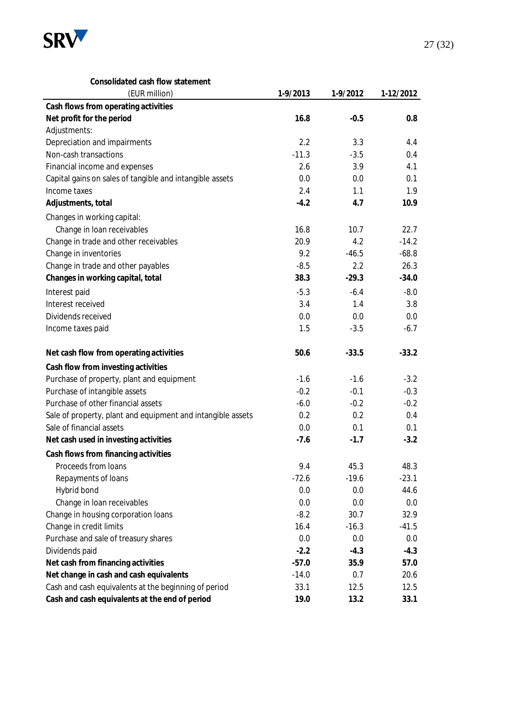

| Consolidated cash flow statement                            |          |          |           |
|-------------------------------------------------------------|----------|----------|-----------|
| (EUR million)                                               | 1-9/2013 | 1-9/2012 | 1-12/2012 |
| Cash flows from operating activities                        |          |          |           |
| Net profit for the period                                   | 16.8     | $-0.5$   | 0.8       |
| Adjustments:                                                |          |          |           |
| Depreciation and impairments                                | 2.2      | 3.3      | 4.4       |
| Non-cash transactions                                       | $-11.3$  | $-3.5$   | 0.4       |
| Financial income and expenses                               | 2.6      | 3.9      | 4.1       |
| Capital gains on sales of tangible and intangible assets    | 0.0      | 0.0      | 0.1       |
| Income taxes                                                | 2.4      | 1.1      | 1.9       |
| Adjustments, total                                          | $-4.2$   | 4.7      | 10.9      |
| Changes in working capital:                                 |          |          |           |
| Change in loan receivables                                  | 16.8     | 10.7     | 22.7      |
| Change in trade and other receivables                       | 20.9     | 4.2      | $-14.2$   |
| Change in inventories                                       | 9.2      | $-46.5$  | $-68.8$   |
| Change in trade and other payables                          | $-8.5$   | 2.2      | 26.3      |
| Changes in working capital, total                           | 38.3     | $-29.3$  | $-34.0$   |
| Interest paid                                               | $-5.3$   | $-6.4$   | $-8.0$    |
| Interest received                                           | 3.4      | 1.4      | 3.8       |
| Dividends received                                          | 0.0      | 0.0      | 0.0       |
| Income taxes paid                                           | 1.5      | $-3.5$   | $-6.7$    |
|                                                             |          |          |           |
| Net cash flow from operating activities                     | 50.6     | $-33.5$  | $-33.2$   |
| Cash flow from investing activities                         |          |          |           |
| Purchase of property, plant and equipment                   | $-1.6$   | $-1.6$   | $-3.2$    |
| Purchase of intangible assets                               | $-0.2$   | $-0.1$   | $-0.3$    |
| Purchase of other financial assets                          | $-6.0$   | $-0.2$   | $-0.2$    |
| Sale of property, plant and equipment and intangible assets | 0.2      | 0.2      | 0.4       |
| Sale of financial assets                                    | 0.0      | 0.1      | 0.1       |
| Net cash used in investing activities                       | $-7.6$   | $-1.7$   | $-3.2$    |
| Cash flows from financing activities                        |          |          |           |
| Proceeds from loans                                         | 9.4      | 45.3     | 48.3      |
| Repayments of loans                                         | $-72.6$  | $-19.6$  | $-23.1$   |
| Hybrid bond                                                 | 0.0      | 0.0      | 44.6      |
| Change in loan receivables                                  | 0.0      | 0.0      | 0.0       |
| Change in housing corporation loans                         | $-8.2$   | 30.7     | 32.9      |
| Change in credit limits                                     | 16.4     | $-16.3$  | $-41.5$   |
| Purchase and sale of treasury shares                        | 0.0      | 0.0      | 0.0       |
| Dividends paid                                              | $-2.2$   | $-4.3$   | $-4.3$    |
| Net cash from financing activities                          | $-57.0$  | 35.9     | 57.0      |
| Net change in cash and cash equivalents                     | $-14.0$  | 0.7      | 20.6      |
| Cash and cash equivalents at the beginning of period        | 33.1     | 12.5     | 12.5      |
| Cash and cash equivalents at the end of period              | 19.0     | 13.2     | 33.1      |
|                                                             |          |          |           |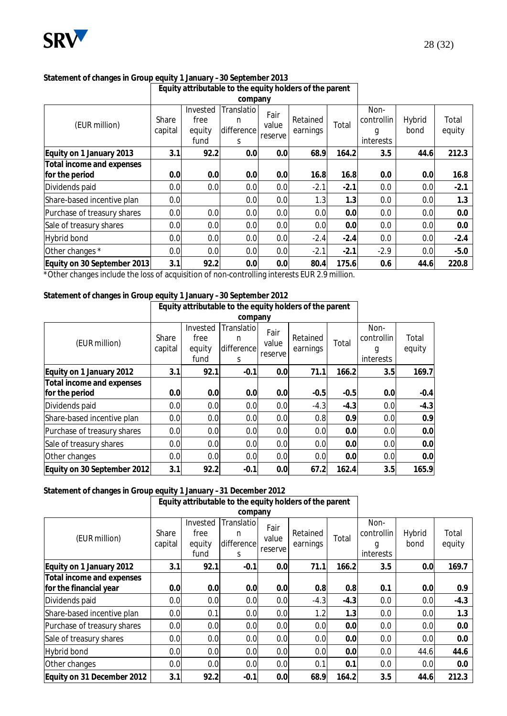

## **Statement of changes in Group equity 1 January –30 September 2013**

|                                             | Equity attributable to the equity holders of the parent |                                    |                                    |                          |                      |        |                                      |                |                 |
|---------------------------------------------|---------------------------------------------------------|------------------------------------|------------------------------------|--------------------------|----------------------|--------|--------------------------------------|----------------|-----------------|
|                                             |                                                         |                                    | company                            |                          |                      |        |                                      |                |                 |
| (EUR million)                               | Share<br>capital                                        | Invested<br>free<br>equity<br>fund | Translatio<br>n<br>difference<br>S | Fair<br>value<br>reserve | Retained<br>earnings | Total  | Non-<br>controllin<br>g<br>interests | Hybrid<br>bond | Total<br>equity |
| Equity on 1 January 2013                    | 3.1                                                     | 92.2                               | 0.0                                | 0.0                      | 68.9                 | 164.2  | 3.5                                  | 44.6           | 212.3           |
| Total income and expenses<br>for the period | 0.0                                                     | 0.0                                | 0.0                                | 0.0                      | 16.8                 | 16.8   | 0.0                                  | 0.0            | 16.8            |
| Dividends paid                              | 0.0                                                     | 0.0                                | 0.0                                | 0.0                      | $-2.1$               | $-2.1$ | 0.0                                  | 0.0            | $-2.1$          |
| Share-based incentive plan                  | 0.0                                                     |                                    | 0.0                                | 0.0                      | 1.3                  | 1.3    | 0.0                                  | 0.0            | 1.3             |
| Purchase of treasury shares                 | 0.0                                                     | 0.0                                | 0.0                                | 0.0                      | 0.0                  | 0.0    | 0.0                                  | 0.0            | 0.0             |
| Sale of treasury shares                     | 0.0                                                     | 0.0                                | 0.0                                | 0.0                      | 0.0                  | 0.0    | 0.0                                  | 0.0            | 0.0             |
| Hybrid bond                                 | 0.0                                                     | 0.0                                | 0.0                                | 0.0                      | $-2.4$               | $-2.4$ | 0.0                                  | 0.0            | $-2.4$          |
| Other changes *                             | 0.0                                                     | 0.0                                | 0.0                                | 0.0                      | $-2.1$               | $-2.1$ | $-2.9$                               | 0.0            | $-5.0$          |
| Equity on 30 September 2013                 | 3.1                                                     | 92.2                               | 0.0                                | 0.0                      | 80.4                 | 175.6  | 0.6                                  | 44.6           | 220.8           |

\*Other changes include the loss of acquisition of non-controlling interests EUR 2.9 million.

## **Statement of changes in Group equity 1 January –30 September 2012**

|                                             |                  | Equity attributable to the equity holders of the parent |                                    |                          |                      |        |                                      |                 |
|---------------------------------------------|------------------|---------------------------------------------------------|------------------------------------|--------------------------|----------------------|--------|--------------------------------------|-----------------|
|                                             |                  |                                                         |                                    |                          |                      |        |                                      |                 |
| (EUR million)                               | Share<br>capital | Invested<br>free<br>equity<br>fund                      | Translatio<br>n<br>difference<br>S | Fair<br>value<br>reserve | Retained<br>earnings | Total  | Non-<br>controllin<br>g<br>interests | Total<br>equity |
| Equity on 1 January 2012                    | 3.1              | 92.1                                                    | $-0.1$                             | 0.0                      | 71.1                 | 166.2  | 3.5                                  | 169.7           |
| Total income and expenses<br>for the period | 0.0              | 0.0                                                     | 0.0                                | 0.0                      | $-0.5$               | $-0.5$ | 0.0                                  | $-0.4$          |
| Dividends paid                              | 0.0              | 0.0                                                     | 0.0                                | 0.0                      | $-4.3$               | $-4.3$ | 0.0                                  | $-4.3$          |
| Share-based incentive plan                  | 0.0              | 0.0                                                     | 0.0                                | 0.0                      | 0.8                  | 0.9    | 0.0                                  | 0.9             |
| Purchase of treasury shares                 | 0.0              | 0.0                                                     | 0.0                                | 0.0                      | 0.0                  | 0.0    | 0.0                                  | 0.0             |
| Sale of treasury shares                     | 0.0              | 0.0                                                     | 0.0                                | 0.0                      | 0.0                  | 0.0    | 0.0                                  | 0.0             |
| Other changes                               | 0.0              | 0.0                                                     | 0.0                                | 0.0                      | 0.0                  | 0.0    | 0.0                                  | 0.0             |
| Equity on 30 September 2012                 | 3.1              | 92.2                                                    | $-0.1$                             | 0.0                      | 67.2                 | 162.4  | 3.5                                  | 165.9           |

**Statement of changes in Group equity 1 January –31 December 2012** 

|                                                     | Equity attributable to the equity holders of the parent |                                    |                                     |                          |                      |        |                                      |                |                 |
|-----------------------------------------------------|---------------------------------------------------------|------------------------------------|-------------------------------------|--------------------------|----------------------|--------|--------------------------------------|----------------|-----------------|
|                                                     |                                                         |                                    | company                             |                          |                      |        |                                      |                |                 |
| (EUR million)                                       | Share<br>capital                                        | Invested<br>free<br>equity<br>fund | Translatio<br>n<br>difference<br>S. | Fair<br>value<br>reserve | Retained<br>earnings | Total  | Non-<br>controllin<br>g<br>interests | Hybrid<br>bond | Total<br>equity |
| Equity on 1 January 2012                            | 3.1                                                     | 92.1                               | $-0.1$                              | 0.0                      | 71.1                 | 166.2  | 3.5                                  | 0.0            | 169.7           |
| Total income and expenses<br>for the financial year | 0.0                                                     | 0.0                                | 0.0                                 | 0.0                      | 0.8                  | 0.8    | 0.1                                  | 0.0            | 0.9             |
| Dividends paid                                      | 0.0                                                     | 0.0                                | 0.0                                 | 0.0                      | $-4.3$               | $-4.3$ | 0.0                                  | 0.0            | $-4.3$          |
| Share-based incentive plan                          | 0.0                                                     | 0.1                                | 0.0                                 | 0.0                      | 1.2                  | 1.3    | 0.0                                  | 0.0            | 1.3             |
| Purchase of treasury shares                         | 0.0                                                     | 0.0                                | 0.0                                 | 0.0                      | 0.0                  | 0.0    | 0.0                                  | 0.0            | 0.0             |
| Sale of treasury shares                             | 0.0                                                     | 0.0                                | 0.0                                 | 0.0                      | 0.0                  | 0.0    | 0.0                                  | 0.0            | 0.0             |
| Hybrid bond                                         | 0.0                                                     | 0.0                                | 0.0                                 | 0.0                      | 0.0                  | 0.0    | 0.0                                  | 44.6           | 44.6            |
| Other changes                                       | 0.0                                                     | 0.0                                | 0.0                                 | 0.0                      | 0.1                  | 0.1    | 0.0                                  | 0.0            | 0.0             |
| Equity on 31 December 2012                          | 3.1                                                     | 92.2                               | $-0.1$                              | 0.0                      | 68.9                 | 164.2  | 3.5                                  | 44.6           | 212.3           |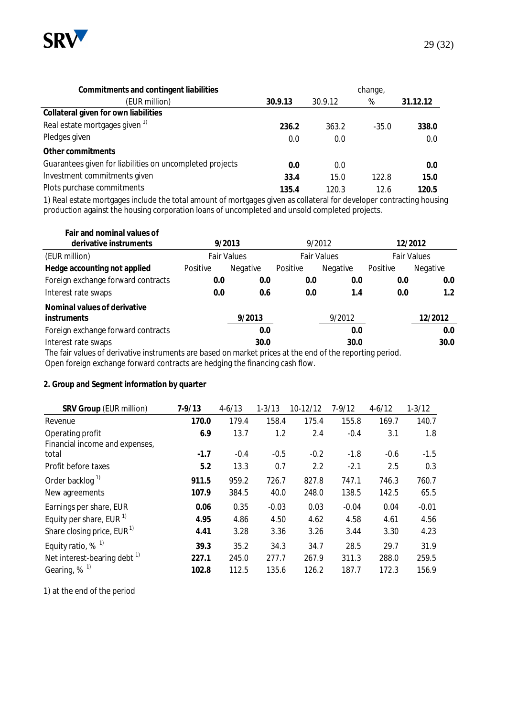

| Commitments and contingent liabilities                   | change, |         |         |          |  |  |
|----------------------------------------------------------|---------|---------|---------|----------|--|--|
| (EUR million)                                            | 30.9.13 | 30.9.12 | %       | 31.12.12 |  |  |
| Collateral given for own liabilities                     |         |         |         |          |  |  |
| Real estate mortgages given <sup>1)</sup>                | 236.2   | 363.2   | $-35.0$ | 338.0    |  |  |
| Pledges given                                            | 0.0     | 0.0     |         | 0.0      |  |  |
| Other commitments                                        |         |         |         |          |  |  |
| Guarantees given for liabilities on uncompleted projects | 0.0     | 0.0     |         | 0.0      |  |  |
| Investment commitments given                             | 33.4    | 15.0    | 122.8   | 15.0     |  |  |
| Plots purchase commitments                               | 135.4   | 120.3   | 12.6    | 120.5    |  |  |

1) Real estate mortgages include the total amount of mortgages given as collateral for developer contracting housing production against the housing corporation loans of uncompleted and unsold completed projects.

| Fair and nominal values of<br>derivative instruments |                                                                                                          | 9/2013             |          | 9/2012             |          | 12/2012            |  |  |  |
|------------------------------------------------------|----------------------------------------------------------------------------------------------------------|--------------------|----------|--------------------|----------|--------------------|--|--|--|
| (EUR million)                                        |                                                                                                          | <b>Fair Values</b> |          | <b>Fair Values</b> |          | <b>Fair Values</b> |  |  |  |
| Hedge accounting not applied                         | Positive                                                                                                 | Negative           | Positive | Negative           | Positive | Negative           |  |  |  |
| Foreign exchange forward contracts                   | 0.0                                                                                                      | 0.0                | 0.0      | 0.0                | 0.0      | 0.0                |  |  |  |
| Interest rate swaps                                  | 0.0                                                                                                      | 0.6                | 0.0      | 1.4                | 0.0      | 1.2                |  |  |  |
| Nominal values of derivative<br><i>instruments</i>   |                                                                                                          | 9/2013             |          | 9/2012             |          | 12/2012            |  |  |  |
| Foreign exchange forward contracts                   |                                                                                                          | 0.0                |          | 0.0                |          | 0.0                |  |  |  |
| Interest rate swaps                                  |                                                                                                          | 30.0               |          | 30.0               |          | 30.0               |  |  |  |
|                                                      | The fair values of derivative instruments are based on market prices at the end of the reporting period. |                    |          |                    |          |                    |  |  |  |

Open foreign exchange forward contracts are hedging the financing cash flow.

#### **2. Group and Segment information by quarter**

| SRV Group (EUR million)                | $7 - 9/13$ | $4 - 6/13$ | $1 - 3/13$ | 10-12/12 | $7 - 9/12$ | $4 - 6/12$ | $1 - 3/12$ |
|----------------------------------------|------------|------------|------------|----------|------------|------------|------------|
| Revenue                                | 170.0      | 179.4      | 158.4      | 175.4    | 155.8      | 169.7      | 140.7      |
| Operating profit                       | 6.9        | 13.7       | 1.2        | 2.4      | $-0.4$     | 3.1        | 1.8        |
| Financial income and expenses,         |            |            |            |          |            |            |            |
| total                                  | $-1.7$     | $-0.4$     | $-0.5$     | $-0.2$   | $-1.8$     | $-0.6$     | $-1.5$     |
| Profit before taxes                    | 5.2        | 13.3       | 0.7        | 2.2      | $-2.1$     | 2.5        | 0.3        |
| Order backlog <sup>1)</sup>            | 911.5      | 959.2      | 726.7      | 827.8    | 747.1      | 746.3      | 760.7      |
| New agreements                         | 107.9      | 384.5      | 40.0       | 248.0    | 138.5      | 142.5      | 65.5       |
| Earnings per share, EUR                | 0.06       | 0.35       | $-0.03$    | 0.03     | $-0.04$    | 0.04       | $-0.01$    |
| Equity per share, EUR $1$              | 4.95       | 4.86       | 4.50       | 4.62     | 4.58       | 4.61       | 4.56       |
| Share closing price, EUR <sup>1)</sup> | 4.41       | 3.28       | 3.36       | 3.26     | 3.44       | 3.30       | 4.23       |
| Equity ratio, $%$ <sup>1)</sup>        | 39.3       | 35.2       | 34.3       | 34.7     | 28.5       | 29.7       | 31.9       |
| Net interest-bearing debt $1$          | 227.1      | 245.0      | 277.7      | 267.9    | 311.3      | 288.0      | 259.5      |
| Gearing, $%$ <sup>1)</sup>             | 102.8      | 112.5      | 135.6      | 126.2    | 187.7      | 172.3      | 156.9      |

1) at the end of the period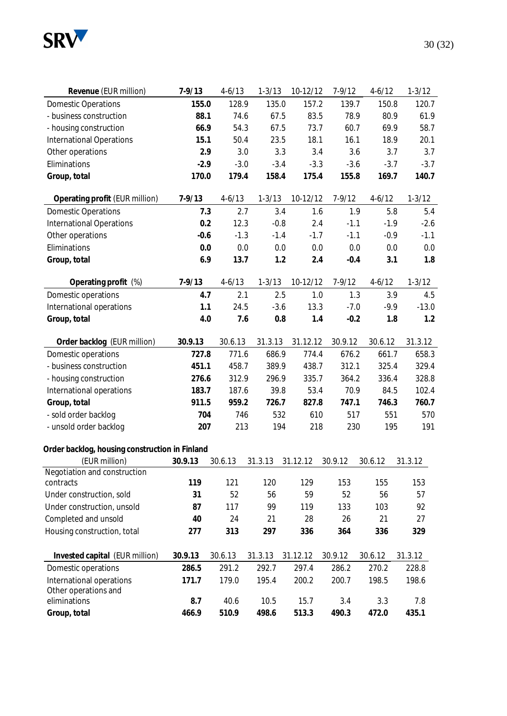

| Revenue (EUR million)                          | $7 - 9/13$ | $4 - 6/13$ | $1 - 3/13$ | 10-12/12 | $7 - 9/12$    | $4 - 6/12$ | $1 - 3/12$ |
|------------------------------------------------|------------|------------|------------|----------|---------------|------------|------------|
| <b>Domestic Operations</b>                     | 155.0      | 128.9      | 135.0      | 157.2    | 139.7         | 150.8      | 120.7      |
| - business construction                        | 88.1       | 74.6       | 67.5       | 83.5     | 78.9          | 80.9       | 61.9       |
| - housing construction                         | 66.9       | 54.3       | 67.5       | 73.7     | 60.7          | 69.9       | 58.7       |
| <b>International Operations</b>                | 15.1       | 50.4       | 23.5       | 18.1     | 16.1          | 18.9       | 20.1       |
| Other operations                               | 2.9        | 3.0        | 3.3        |          | 3.4<br>3.6    | 3.7        | 3.7        |
| Eliminations                                   | $-2.9$     | $-3.0$     | $-3.4$     | $-3.3$   | $-3.6$        | $-3.7$     | $-3.7$     |
| Group, total                                   | 170.0      | 179.4      | 158.4      | 175.4    | 155.8         | 169.7      | 140.7      |
|                                                |            |            |            |          |               |            |            |
| Operating profit (EUR million)                 | $7 - 9/13$ | $4 - 6/13$ | $1 - 3/13$ | 10-12/12 | $7 - 9/12$    | $4-6/12$   | $1 - 3/12$ |
| <b>Domestic Operations</b>                     | 7.3        | 2.7        | 3.4        |          | 1.6<br>1.9    | 5.8        | 5.4        |
| <b>International Operations</b>                | 0.2        | 12.3       | $-0.8$     |          | 2.4<br>$-1.1$ | $-1.9$     | $-2.6$     |
| Other operations                               | $-0.6$     | $-1.3$     | $-1.4$     | $-1.7$   | $-1.1$        | $-0.9$     | $-1.1$     |
| Eliminations                                   | 0.0        | 0.0        | 0.0        | 0.0      | 0.0           | 0.0        | 0.0        |
| Group, total                                   | 6.9        | 13.7       | 1.2        |          | 2.4<br>$-0.4$ | 3.1        | 1.8        |
|                                                |            |            |            |          |               |            |            |
| Operating profit (%)                           | $7 - 9/13$ | $4 - 6/13$ | $1 - 3/13$ | 10-12/12 | $7 - 9/12$    | $4-6/12$   | $1 - 3/12$ |
| Domestic operations                            | 4.7        | 2.1        | 2.5        |          | 1.0           | 1.3<br>3.9 | 4.5        |
| International operations                       | 1.1        | 24.5       | $-3.6$     | 13.3     | $-7.0$        | $-9.9$     | $-13.0$    |
| Group, total                                   | 4.0        | 7.6        | 0.8        |          | 1.4<br>$-0.2$ | 1.8        | 1.2        |
|                                                |            |            |            |          |               |            |            |
| Order backlog (EUR million)                    | 30.9.13    | 30.6.13    | 31.3.13    | 31.12.12 | 30.9.12       | 30.6.12    | 31.3.12    |
| Domestic operations                            | 727.8      | 771.6      | 686.9      | 774.4    | 676.2         | 661.7      | 658.3      |
| - business construction                        | 451.1      | 458.7      | 389.9      | 438.7    | 312.1         | 325.4      | 329.4      |
| - housing construction                         | 276.6      | 312.9      | 296.9      | 335.7    | 364.2         | 336.4      | 328.8      |
| International operations                       | 183.7      | 187.6      | 39.8       | 53.4     | 70.9          | 84.5       | 102.4      |
| Group, total                                   | 911.5      | 959.2      | 726.7      | 827.8    | 747.1         | 746.3      | 760.7      |
| - sold order backlog                           | 704        | 746        | 532        | 610      | 517           | 551        | 570        |
| - unsold order backlog                         | 207        | 213        | 194        | 218      | 230           | 195        | 191        |
|                                                |            |            |            |          |               |            |            |
| Order backlog, housing construction in Finland |            |            |            |          |               |            |            |
| (EUR million)                                  | 30.9.13    | 30.6.13    | 31.3.13    | 31.12.12 | 30.9.12       | 30.6.12    | 31.3.12    |
| Negotiation and construction                   |            |            |            |          |               |            |            |
| contracts                                      | 119        | 121        | 120        | 129      | 153           | 155        | 153        |
| Under construction, sold                       | 31         | 52         | 56         | 59       | 52            | 56         | 57         |
| Under construction, unsold                     | 87         | 117        | 99         | 119      | 133           | 103        | 92         |
| Completed and unsold                           | 40         | 24         | 21         | 28       | 26            | 21         | 27         |
| Housing construction, total                    | 277        | 313        | 297        | 336      | 364           | 336        | 329        |
|                                                |            |            |            |          |               |            |            |
| Invested capital (EUR million)                 | 30.9.13    | 30.6.13    | 31.3.13    | 31.12.12 | 30.9.12       | 30.6.12    | 31.3.12    |
| Domestic operations                            | 286.5      | 291.2      | 292.7      | 297.4    | 286.2         | 270.2      | 228.8      |
| International operations                       | 171.7      | 179.0      | 195.4      | 200.2    | 200.7         | 198.5      | 198.6      |
| Other operations and<br>eliminations           | 8.7        | 40.6       | 10.5       | 15.7     |               | 3.3        | 7.8        |
|                                                |            |            |            |          | 3.4           |            |            |
| Group, total                                   | 466.9      | 510.9      | 498.6      | 513.3    | 490.3         | 472.0      | 435.1      |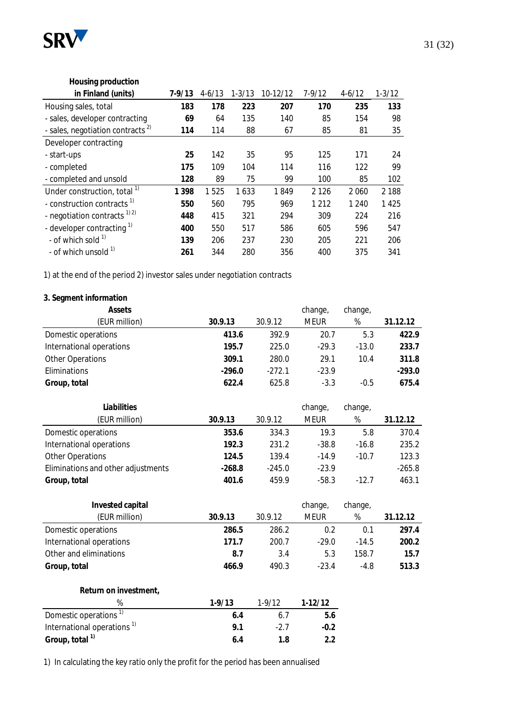

#### **Housing production in Finland (units) 7-9/13** 4-6/13 1-3/13 10-12/12 7-9/12 4-6/12 1-3/12 Housing sales, total **183 178 223 207 170 235 133** - sales, developer contracting **69** 64 135 140 85 154 98 - sales, negotiation contracts<sup>2)</sup> **114** 114 88 67 85 81 35 Developer contracting - start-ups **25** 142 35 95 125 171 24 - completed **175** 109 104 114 116 122 99 - completed and unsold **128** 89 75 99 100 85 102 Under construction, total 1) **1 398** 1 525 1 633 1 849 2 126 2 060 2 188 - construction contracts 1) **550** 560 795 969 1 212 1 240 1 425 - negotiation contracts 1) 2) **448** 415 321 294 309 224 216 - developer contracting 1) **400** 550 517 586 605 596 547 - of which sold 1) **139** 206 237 230 205 221 206 - of which unsold 1) **261** 344 280 356 400 375 341

1) at the end of the period 2) investor sales under negotiation contracts

#### **3. Segment information**

| Assets                   |          |          | change,     | change, |          |
|--------------------------|----------|----------|-------------|---------|----------|
| (EUR million)            | 30.9.13  | 30.9.12  | <b>MEUR</b> | %       | 31.12.12 |
| Domestic operations      | 413.6    | 392.9    | 20.7        | 5.3     | 422.9    |
| International operations | 195.7    | 225.0    | $-29.3$     | $-13.0$ | 233.7    |
| Other Operations         | 309.1    | 280.0    | 29.1        | 10.4    | 311.8    |
| <b>Eliminations</b>      | $-296.0$ | $-272.1$ | $-23.9$     |         | $-293.0$ |
| Group, total             | 622.4    | 625.8    | $-3.3$      | $-0.5$  | 675.4    |

| Liabilities                        |          |          | change,     | change, |          |
|------------------------------------|----------|----------|-------------|---------|----------|
| (EUR million)                      | 30.9.13  | 30.9.12  | <b>MEUR</b> | %       | 31.12.12 |
| Domestic operations                | 353.6    | 334.3    | 19.3        | 5.8     | 370.4    |
| International operations           | 192.3    | 231.2    | $-38.8$     | $-16.8$ | 235.2    |
| <b>Other Operations</b>            | 124.5    | 139.4    | $-14.9$     | $-10.7$ | 123.3    |
| Eliminations and other adjustments | $-268.8$ | $-245.0$ | $-23.9$     |         | $-265.8$ |
| Group, total                       | 401.6    | 459.9    | $-58.3$     | $-12.7$ | 463.1    |

| Invested capital<br>(EUR million) | 30.9.13 | 30.9.12 | change,<br><b>MEUR</b> | change,<br>% | 31.12.12 |
|-----------------------------------|---------|---------|------------------------|--------------|----------|
| Domestic operations               | 286.5   | 286.2   | 0.2                    | 0.1          | 297.4    |
| International operations          | 171.7   | 200.7   | $-29.0$                | $-14.5$      | 200.2    |
| Other and eliminations            | 8.7     | 3.4     | 5.3                    | 158.7        | 15.7     |
| Group, total                      | 466.9   | 490.3   | $-23.4$                | $-4.8$       | 513.3    |
|                                   |         |         |                        |              |          |
| Return on investment,             |         |         |                        |              |          |

|                                        | $1-9/13$ | $1-9/12$ | $1-12/12$ |
|----------------------------------------|----------|----------|-----------|
| Domestic operations <sup>1)</sup>      | 6.4      | 61       | b.6       |
| International operations <sup>1)</sup> | 91       | -27      | $-0.2$    |
| Group, total <sup>1)</sup>             | 64       | 1 8      |           |

1) In calculating the key ratio only the profit for the period has been annualised